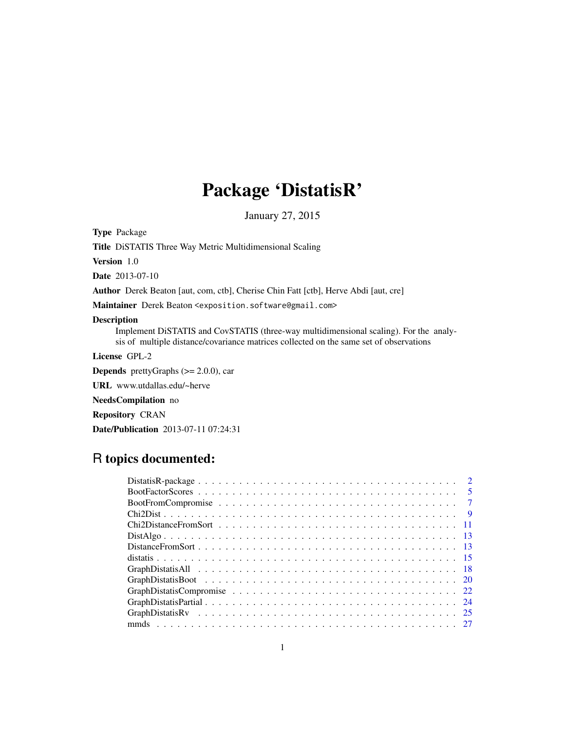## Package 'DistatisR'

January 27, 2015

<span id="page-0-0"></span>Type Package Title DiSTATIS Three Way Metric Multidimensional Scaling Version 1.0 Date 2013-07-10 Author Derek Beaton [aut, com, ctb], Cherise Chin Fatt [ctb], Herve Abdi [aut, cre] Maintainer Derek Beaton <exposition.software@gmail.com> Description Implement DiSTATIS and CovSTATIS (three-way multidimensional scaling). For the analysis of multiple distance/covariance matrices collected on the same set of observations License GPL-2 **Depends** prettyGraphs  $(>= 2.0.0)$ , car URL www.utdallas.edu/~herve NeedsCompilation no Repository CRAN Date/Publication 2013-07-11 07:24:31

## R topics documented: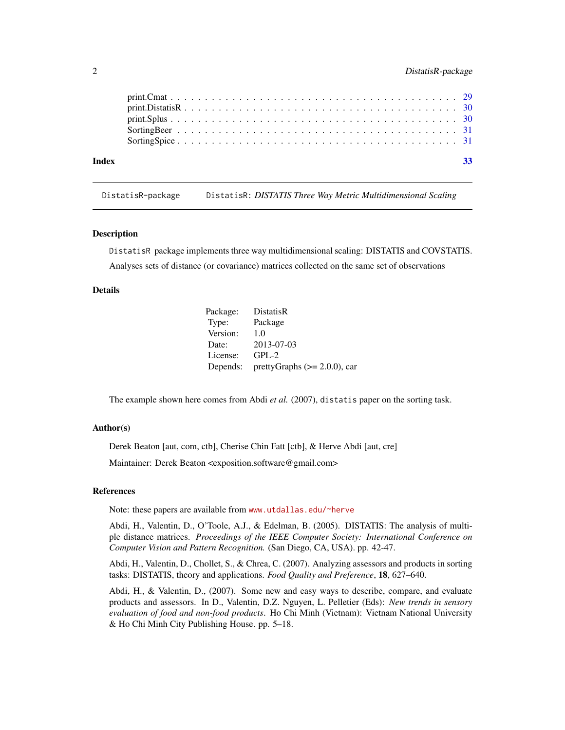<span id="page-1-0"></span>

| Index |  |  |  |  |  |  |  |  |  |  |  |  |  |  |  |  |  |  |  |
|-------|--|--|--|--|--|--|--|--|--|--|--|--|--|--|--|--|--|--|--|
|       |  |  |  |  |  |  |  |  |  |  |  |  |  |  |  |  |  |  |  |
|       |  |  |  |  |  |  |  |  |  |  |  |  |  |  |  |  |  |  |  |
|       |  |  |  |  |  |  |  |  |  |  |  |  |  |  |  |  |  |  |  |
|       |  |  |  |  |  |  |  |  |  |  |  |  |  |  |  |  |  |  |  |
|       |  |  |  |  |  |  |  |  |  |  |  |  |  |  |  |  |  |  |  |

DistatisR-package DistatisR: *DISTATIS Three Way Metric Multidimensional Scaling*

#### Description

DistatisR package implements three way multidimensional scaling: DISTATIS and COVSTATIS. Analyses sets of distance (or covariance) matrices collected on the same set of observations

### Details

| Package: | DistatisR                       |
|----------|---------------------------------|
| Type:    | Package                         |
| Version: | 1.0                             |
| Date:    | 2013-07-03                      |
| License: | $GPI - 2$                       |
| Depends: | prettyGraphs $(>= 2.0.0)$ , car |

The example shown here comes from Abdi *et al.* (2007), distatis paper on the sorting task.

#### Author(s)

Derek Beaton [aut, com, ctb], Cherise Chin Fatt [ctb], & Herve Abdi [aut, cre]

Maintainer: Derek Beaton <exposition.software@gmail.com>

#### References

Note: these papers are available from <www.utdallas.edu/~herve>

Abdi, H., Valentin, D., O'Toole, A.J., & Edelman, B. (2005). DISTATIS: The analysis of multiple distance matrices. *Proceedings of the IEEE Computer Society: International Conference on Computer Vision and Pattern Recognition.* (San Diego, CA, USA). pp. 42-47.

Abdi, H., Valentin, D., Chollet, S., & Chrea, C. (2007). Analyzing assessors and products in sorting tasks: DISTATIS, theory and applications. *Food Quality and Preference*, 18, 627–640.

Abdi, H., & Valentin, D., (2007). Some new and easy ways to describe, compare, and evaluate products and assessors. In D., Valentin, D.Z. Nguyen, L. Pelletier (Eds): *New trends in sensory evaluation of food and non-food products*. Ho Chi Minh (Vietnam): Vietnam National University & Ho Chi Minh City Publishing House. pp. 5–18.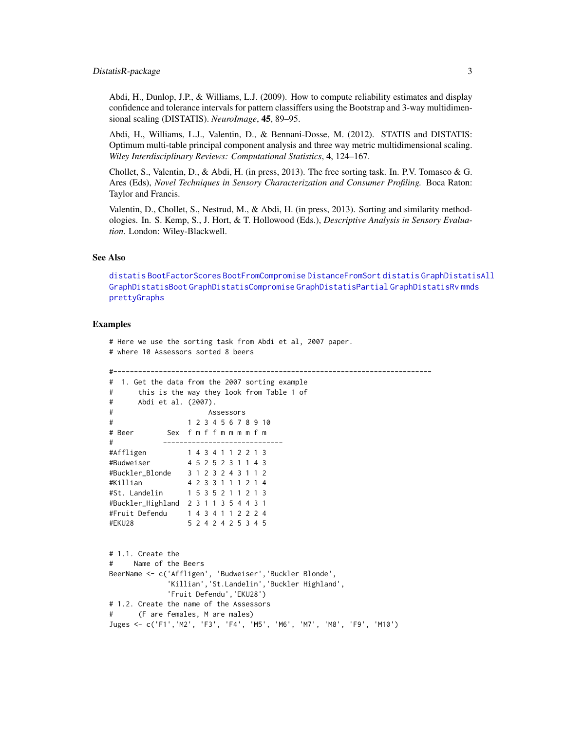<span id="page-2-0"></span>Abdi, H., Dunlop, J.P., & Williams, L.J. (2009). How to compute reliability estimates and display confidence and tolerance intervals for pattern classiffers using the Bootstrap and 3-way multidimensional scaling (DISTATIS). *NeuroImage*, 45, 89–95.

Abdi, H., Williams, L.J., Valentin, D., & Bennani-Dosse, M. (2012). STATIS and DISTATIS: Optimum multi-table principal component analysis and three way metric multidimensional scaling. *Wiley Interdisciplinary Reviews: Computational Statistics*, 4, 124–167.

Chollet, S., Valentin, D., & Abdi, H. (in press, 2013). The free sorting task. In. P.V. Tomasco & G. Ares (Eds), *Novel Techniques in Sensory Characterization and Consumer Profiling.* Boca Raton: Taylor and Francis.

Valentin, D., Chollet, S., Nestrud, M., & Abdi, H. (in press, 2013). Sorting and similarity methodologies. In. S. Kemp, S., J. Hort, & T. Hollowood (Eds.), *Descriptive Analysis in Sensory Evaluation*. London: Wiley-Blackwell.

#### See Also

[distatis](#page-14-1) [BootFactorScores](#page-4-1) [BootFromCompromise](#page-6-1) [DistanceFromSort](#page-12-1) [distatis](#page-14-1) [GraphDistatisAll](#page-17-1) [GraphDistatisBoot](#page-19-1) [GraphDistatisCompromise](#page-21-1) [GraphDistatisPartial](#page-23-1) [GraphDistatisRv](#page-24-1) [mmds](#page-26-1) [prettyGraphs](#page-0-0)

#### Examples

# Here we use the sorting task from Abdi et al, 2007 paper. # where 10 Assessors sorted 8 beers

# 1. Get the data from the 2007 sorting example # this is the way they look from Table 1 of # Abdi et al. (2007). # Assessors # 1 2 3 4 5 6 7 8 9 10 # Beer Sex f m f f m m m m f m # ----------------------------- #Affligen 1 4 3 4 1 1 2 2 1 3 #Budweiser 4 5 2 5 2 3 1 1 4 3 #Buckler\_Blonde 3 1 2 3 2 4 3 1 1 2 #Killian 4 2 3 3 1 1 1 2 1 4 #St. Landelin 1 5 3 5 2 1 1 2 1 3 #Buckler\_Highland 2 3 1 1 3 5 4 4 3 1 #Fruit Defendu 1 4 3 4 1 1 2 2 2 4 #EKU28 5 2 4 2 4 2 5 3 4 5 # 1.1. Create the # Name of the Beers BeerName <- c('Affligen', 'Budweiser','Buckler Blonde', 'Killian','St.Landelin','Buckler Highland', 'Fruit Defendu','EKU28') # 1.2. Create the name of the Assessors # (F are females, M are males) Juges <- c('F1','M2', 'F3', 'F4', 'M5', 'M6', 'M7', 'M8', 'F9', 'M10')

#-----------------------------------------------------------------------------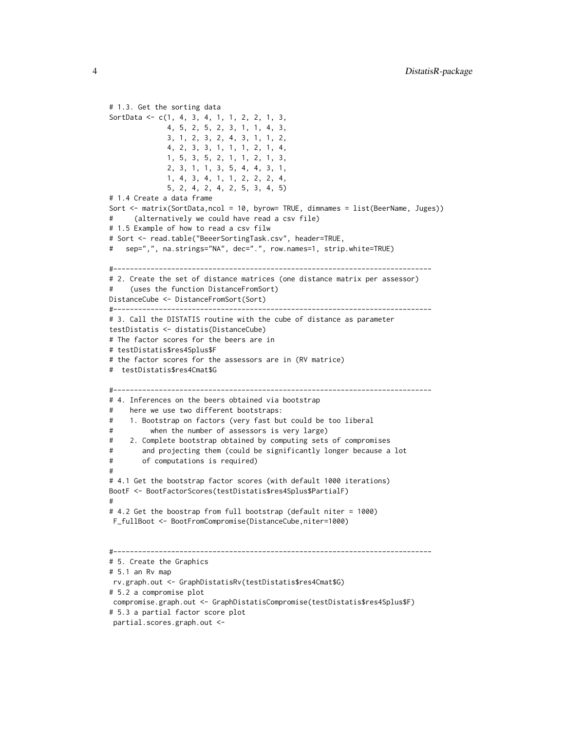```
# 1.3. Get the sorting data
SortData <- c(1, 4, 3, 4, 1, 1, 2, 2, 1, 3,
             4, 5, 2, 5, 2, 3, 1, 1, 4, 3,
             3, 1, 2, 3, 2, 4, 3, 1, 1, 2,
             4, 2, 3, 3, 1, 1, 1, 2, 1, 4,
             1, 5, 3, 5, 2, 1, 1, 2, 1, 3,
             2, 3, 1, 1, 3, 5, 4, 4, 3, 1,
             1, 4, 3, 4, 1, 1, 2, 2, 2, 4,
             5, 2, 4, 2, 4, 2, 5, 3, 4, 5)
# 1.4 Create a data frame
Sort <- matrix(SortData,ncol = 10, byrow= TRUE, dimnames = list(BeerName, Juges))
# (alternatively we could have read a csv file)
# 1.5 Example of how to read a csv filw
# Sort <- read.table("BeeerSortingTask.csv", header=TRUE,
# sep=",", na.strings="NA", dec=".", row.names=1, strip.white=TRUE)
#-----------------------------------------------------------------------------
# 2. Create the set of distance matrices (one distance matrix per assessor)
# (uses the function DistanceFromSort)
DistanceCube <- DistanceFromSort(Sort)
#-----------------------------------------------------------------------------
# 3. Call the DISTATIS routine with the cube of distance as parameter
testDistatis <- distatis(DistanceCube)
# The factor scores for the beers are in
# testDistatis$res4Splus$F
# the factor scores for the assessors are in (RV matrice)
# testDistatis$res4Cmat$G
#-----------------------------------------------------------------------------
# 4. Inferences on the beers obtained via bootstrap
# here we use two different bootstraps:
# 1. Bootstrap on factors (very fast but could be too liberal
# when the number of assessors is very large)
# 2. Complete bootstrap obtained by computing sets of compromises
# and projecting them (could be significantly longer because a lot
# of computations is required)
#
# 4.1 Get the bootstrap factor scores (with default 1000 iterations)
BootF <- BootFactorScores(testDistatis$res4Splus$PartialF)
#
# 4.2 Get the boostrap from full bootstrap (default niter = 1000)
F_fullBoot <- BootFromCompromise(DistanceCube,niter=1000)
#-----------------------------------------------------------------------------
# 5. Create the Graphics
# 5.1 an Rv map
rv.graph.out <- GraphDistatisRv(testDistatis$res4Cmat$G)
# 5.2 a compromise plot
compromise.graph.out <- GraphDistatisCompromise(testDistatis$res4Splus$F)
# 5.3 a partial factor score plot
partial.scores.graph.out <-
```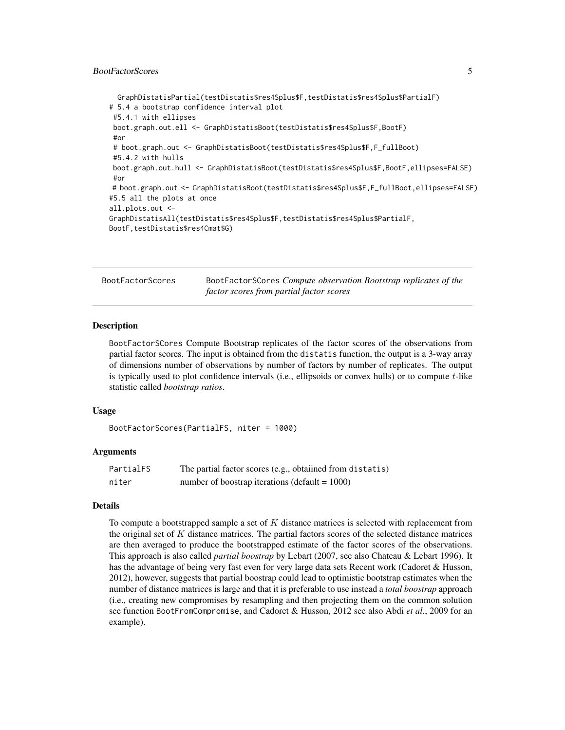### <span id="page-4-0"></span>BootFactorScores 5

```
GraphDistatisPartial(testDistatis$res4Splus$F,testDistatis$res4Splus$PartialF)
# 5.4 a bootstrap confidence interval plot
#5.4.1 with ellipses
boot.graph.out.ell <- GraphDistatisBoot(testDistatis$res4Splus$F,BootF)
#or
# boot.graph.out <- GraphDistatisBoot(testDistatis$res4Splus$F,F_fullBoot)
#5.4.2 with hulls
boot.graph.out.hull <- GraphDistatisBoot(testDistatis$res4Splus$F,BootF,ellipses=FALSE)
#or
# boot.graph.out <- GraphDistatisBoot(testDistatis$res4Splus$F,F_fullBoot,ellipses=FALSE)
#5.5 all the plots at once
all.plots.out <-
GraphDistatisAll(testDistatis$res4Splus$F,testDistatis$res4Splus$PartialF,
BootF, testDistatis$res4Cmat$G)
```
<span id="page-4-1"></span>BootFactorScores BootFactorSCores *Compute observation Bootstrap replicates of the factor scores from partial factor scores*

### Description

BootFactorSCores Compute Bootstrap replicates of the factor scores of the observations from partial factor scores. The input is obtained from the distatis function, the output is a 3-way array of dimensions number of observations by number of factors by number of replicates. The output is typically used to plot confidence intervals (i.e., ellipsoids or convex hulls) or to compute t-like statistic called *bootstrap ratios*.

### Usage

```
BootFactorScores(PartialFS, niter = 1000)
```
#### Arguments

| PartialFS | The partial factor scores (e.g., obtained from distatis) |
|-----------|----------------------------------------------------------|
| niter     | number of boostrap iterations (default = $1000$ )        |

### Details

To compute a bootstrapped sample a set of  $K$  distance matrices is selected with replacement from the original set of  $K$  distance matrices. The partial factors scores of the selected distance matrices are then averaged to produce the bootstrapped estimate of the factor scores of the observations. This approach is also called *partial boostrap* by Lebart (2007, see also Chateau & Lebart 1996). It has the advantage of being very fast even for very large data sets Recent work (Cadoret & Husson, 2012), however, suggests that partial boostrap could lead to optimistic bootstrap estimates when the number of distance matrices is large and that it is preferable to use instead a *total boostrap* approach (i.e., creating new compromises by resampling and then projecting them on the common solution see function BootFromCompromise, and Cadoret & Husson, 2012 see also Abdi *et al*., 2009 for an example).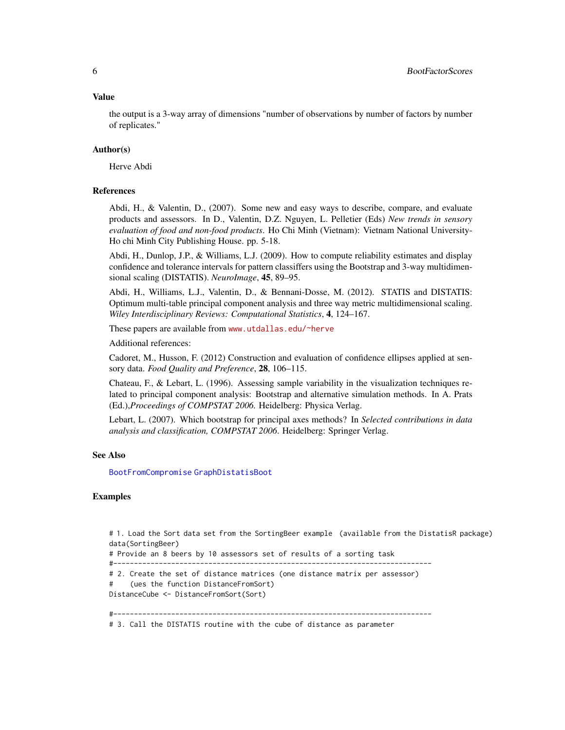#### <span id="page-5-0"></span>Value

the output is a 3-way array of dimensions "number of observations by number of factors by number of replicates."

### Author(s)

Herve Abdi

### References

Abdi, H., & Valentin, D., (2007). Some new and easy ways to describe, compare, and evaluate products and assessors. In D., Valentin, D.Z. Nguyen, L. Pelletier (Eds) *New trends in sensory evaluation of food and non-food products*. Ho Chi Minh (Vietnam): Vietnam National University-Ho chi Minh City Publishing House. pp. 5-18.

Abdi, H., Dunlop, J.P., & Williams, L.J. (2009). How to compute reliability estimates and display confidence and tolerance intervals for pattern classiffers using the Bootstrap and 3-way multidimensional scaling (DISTATIS). *NeuroImage*, 45, 89–95.

Abdi, H., Williams, L.J., Valentin, D., & Bennani-Dosse, M. (2012). STATIS and DISTATIS: Optimum multi-table principal component analysis and three way metric multidimensional scaling. *Wiley Interdisciplinary Reviews: Computational Statistics*, 4, 124–167.

These papers are available from <www.utdallas.edu/~herve>

Additional references:

Cadoret, M., Husson, F. (2012) Construction and evaluation of confidence ellipses applied at sensory data. *Food Quality and Preference*, 28, 106–115.

Chateau, F., & Lebart, L. (1996). Assessing sample variability in the visualization techniques related to principal component analysis: Bootstrap and alternative simulation methods. In A. Prats (Ed.),*Proceedings of COMPSTAT 2006.* Heidelberg: Physica Verlag.

Lebart, L. (2007). Which bootstrap for principal axes methods? In *Selected contributions in data analysis and classification, COMPSTAT 2006*. Heidelberg: Springer Verlag.

### See Also

[BootFromCompromise](#page-6-1) [GraphDistatisBoot](#page-19-1)

### Examples

# 1. Load the Sort data set from the SortingBeer example (available from the DistatisR package) data(SortingBeer) # Provide an 8 beers by 10 assessors set of results of a sorting task #----------------------------------------------------------------------------- # 2. Create the set of distance matrices (one distance matrix per assessor) # (ues the function DistanceFromSort) DistanceCube <- DistanceFromSort(Sort) #----------------------------------------------------------------------------- # 3. Call the DISTATIS routine with the cube of distance as parameter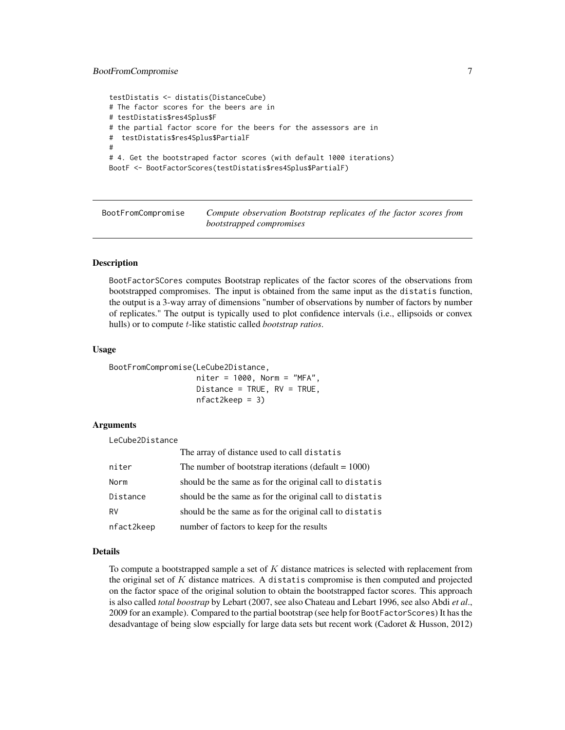### <span id="page-6-0"></span>BootFromCompromise 7

```
testDistatis <- distatis(DistanceCube)
# The factor scores for the beers are in
# testDistatis$res4Splus$F
# the partial factor score for the beers for the assessors are in
# testDistatis$res4Splus$PartialF
#
# 4. Get the bootstraped factor scores (with default 1000 iterations)
BootF <- BootFactorScores(testDistatis$res4Splus$PartialF)
```
<span id="page-6-1"></span>BootFromCompromise *Compute observation Bootstrap replicates of the factor scores from bootstrapped compromises*

### **Description**

BootFactorSCores computes Bootstrap replicates of the factor scores of the observations from bootstrapped compromises. The input is obtained from the same input as the distatis function, the output is a 3-way array of dimensions "number of observations by number of factors by number of replicates." The output is typically used to plot confidence intervals (i.e., ellipsoids or convex hulls) or to compute t-like statistic called *bootstrap ratios*.

### Usage

BootFromCompromise(LeCube2Distance,  $nifar = 1000$ , Norm = "MEA"

|                   | $111 \text{ CFT}$ - 1999, NOT $111 - 197 \text{ T}$ |  |
|-------------------|-----------------------------------------------------|--|
|                   | Distance = TRUE, $RV = TRUE$ ,                      |  |
| $nfact2keep = 3)$ |                                                     |  |

### Arguments

LeCube2Distance

|            | The array of distance used to call distatis             |
|------------|---------------------------------------------------------|
| niter      | The number of bootstrap iterations (default $= 1000$ )  |
| Norm       | should be the same as for the original call to distatis |
| Distance   | should be the same as for the original call to distatis |
| RV         | should be the same as for the original call to distatis |
| nfact2keep | number of factors to keep for the results               |

#### Details

To compute a bootstrapped sample a set of  $K$  distance matrices is selected with replacement from the original set of  $K$  distance matrices. A distatis compromise is then computed and projected on the factor space of the original solution to obtain the bootstrapped factor scores. This approach is also called *total boostrap* by Lebart (2007, see also Chateau and Lebart 1996, see also Abdi *et al*., 2009 for an example). Compared to the partial bootstrap (see help for BootFactorScores) It has the desadvantage of being slow espcially for large data sets but recent work (Cadoret & Husson, 2012)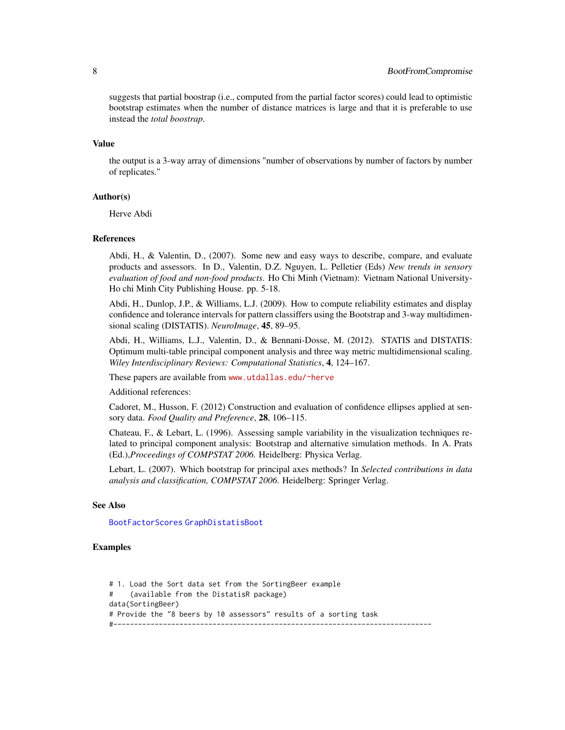suggests that partial boostrap (i.e., computed from the partial factor scores) could lead to optimistic bootstrap estimates when the number of distance matrices is large and that it is preferable to use instead the *total boostrap*.

#### Value

the output is a 3-way array of dimensions "number of observations by number of factors by number of replicates."

#### Author(s)

Herve Abdi

#### References

Abdi, H., & Valentin, D., (2007). Some new and easy ways to describe, compare, and evaluate products and assessors. In D., Valentin, D.Z. Nguyen, L. Pelletier (Eds) *New trends in sensory evaluation of food and non-food products*. Ho Chi Minh (Vietnam): Vietnam National University-Ho chi Minh City Publishing House. pp. 5-18.

Abdi, H., Dunlop, J.P., & Williams, L.J. (2009). How to compute reliability estimates and display confidence and tolerance intervals for pattern classiffers using the Bootstrap and 3-way multidimensional scaling (DISTATIS). *NeuroImage*, 45, 89–95.

Abdi, H., Williams, L.J., Valentin, D., & Bennani-Dosse, M. (2012). STATIS and DISTATIS: Optimum multi-table principal component analysis and three way metric multidimensional scaling. *Wiley Interdisciplinary Reviews: Computational Statistics*, 4, 124–167.

These papers are available from <www.utdallas.edu/~herve>

Additional references:

Cadoret, M., Husson, F. (2012) Construction and evaluation of confidence ellipses applied at sensory data. *Food Quality and Preference*, 28, 106–115.

Chateau, F., & Lebart, L. (1996). Assessing sample variability in the visualization techniques related to principal component analysis: Bootstrap and alternative simulation methods. In A. Prats (Ed.),*Proceedings of COMPSTAT 2006.* Heidelberg: Physica Verlag.

Lebart, L. (2007). Which bootstrap for principal axes methods? In *Selected contributions in data analysis and classification, COMPSTAT 2006*. Heidelberg: Springer Verlag.

### See Also

[BootFactorScores](#page-4-1) [GraphDistatisBoot](#page-19-1)

### Examples

# 1. Load the Sort data set from the SortingBeer example (available from the DistatisR package) data(SortingBeer) # Provide the "8 beers by 10 assessors" results of a sorting task #-----------------------------------------------------------------------------

<span id="page-7-0"></span>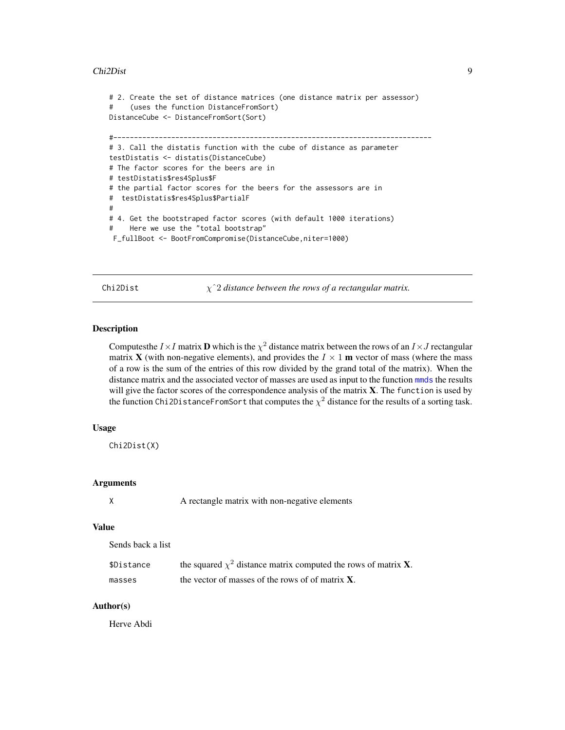#### <span id="page-8-0"></span>Chi2Dist 9

```
# 2. Create the set of distance matrices (one distance matrix per assessor)
# (uses the function DistanceFromSort)
DistanceCube <- DistanceFromSort(Sort)
#-----------------------------------------------------------------------------
# 3. Call the distatis function with the cube of distance as parameter
testDistatis <- distatis(DistanceCube)
# The factor scores for the beers are in
# testDistatis$res4Splus$F
# the partial factor scores for the beers for the assessors are in
# testDistatis$res4Splus$PartialF
#
# 4. Get the bootstraped factor scores (with default 1000 iterations)
# Here we use the "total bootstrap"
 F_fullBoot <- BootFromCompromise(DistanceCube,niter=1000)
```
Chi2Dist  $\chi$ <sup> $\hat{z}$ </sup> *distance between the rows of a rectangular matrix.* 

### Description

Computesthe  $I \times I$  matrix **D** which is the  $\chi^2$  distance matrix between the rows of an  $I \times J$  rectangular matrix **X** (with non-negative elements), and provides the  $I \times 1$  **m** vector of mass (where the mass of a row is the sum of the entries of this row divided by the grand total of the matrix). When the distance matrix and the associated vector of masses are used as input to the function [mmds](#page-26-1) the results will give the factor scores of the correspondence analysis of the matrix  $X$ . The function is used by the function Chi2DistanceFromSort that computes the  $\chi^2$  distance for the results of a sorting task.

### Usage

Chi2Dist(X)

### Arguments

X A rectangle matrix with non-negative elements

#### Value

Sends back a list

| \$Distance | the squared $\chi^2$ distance matrix computed the rows of matrix <b>X</b> . |
|------------|-----------------------------------------------------------------------------|
| masses     | the vector of masses of the rows of of matrix $X$ .                         |

### Author(s)

Herve Abdi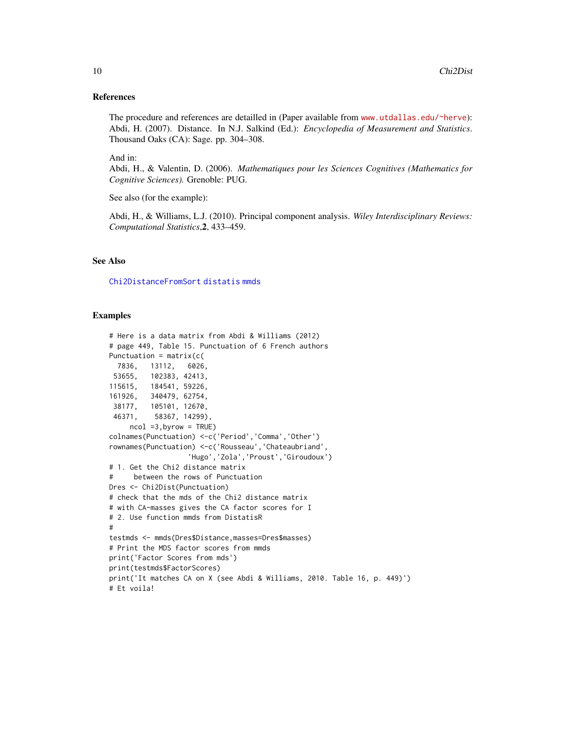### <span id="page-9-0"></span>References

The procedure and references are detailled in (Paper available from <www.utdallas.edu/~herve>): Abdi, H. (2007). Distance. In N.J. Salkind (Ed.): *Encyclopedia of Measurement and Statistics*. Thousand Oaks (CA): Sage. pp. 304–308.

And in:

Abdi, H., & Valentin, D. (2006). *Mathematiques pour les Sciences Cognitives (Mathematics for Cognitive Sciences).* Grenoble: PUG.

See also (for the example):

Abdi, H., & Williams, L.J. (2010). Principal component analysis. *Wiley Interdisciplinary Reviews: Computational Statistics*,2, 433–459.

### See Also

[Chi2DistanceFromSort](#page-10-1) [distatis](#page-14-1) [mmds](#page-26-1)

#### Examples

```
# Here is a data matrix from Abdi & Williams (2012)
# page 449, Table 15. Punctuation of 6 French authors
Punctuation = matrix(c()7836, 13112, 6026,
53655, 102383, 42413,
115615, 184541, 59226,
161926, 340479, 62754,
38177, 105101, 12670,
46371, 58367, 14299),
    ncol =3,byrow = TRUE)
colnames(Punctuation) <-c('Period','Comma','Other')
rownames(Punctuation) <-c('Rousseau','Chateaubriand',
                  'Hugo','Zola','Proust','Giroudoux')
# 1. Get the Chi2 distance matrix
# between the rows of Punctuation
Dres <- Chi2Dist(Punctuation)
# check that the mds of the Chi2 distance matrix
# with CA-masses gives the CA factor scores for I
# 2. Use function mmds from DistatisR
#
testmds <- mmds(Dres$Distance,masses=Dres$masses)
# Print the MDS factor scores from mmds
print('Factor Scores from mds')
print(testmds$FactorScores)
print('It matches CA on X (see Abdi & Williams, 2010. Table 16, p. 449)')
# Et voila!
```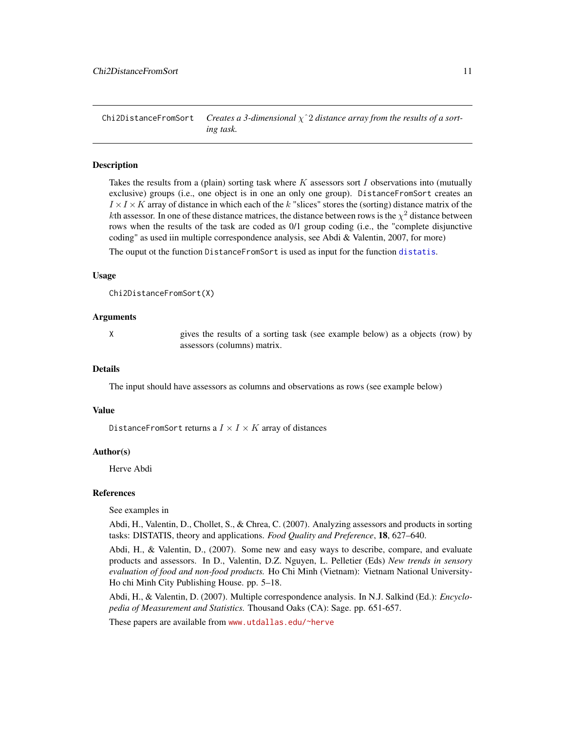<span id="page-10-1"></span><span id="page-10-0"></span>Chi2DistanceFromSort *Creates a 3-dimensional* χˆ2 *distance array from the results of a sorting task.*

### **Description**

Takes the results from a (plain) sorting task where  $K$  assessors sort  $I$  observations into (mutually exclusive) groups (i.e., one object is in one an only one group). DistanceFromSort creates an  $I \times I \times K$  array of distance in which each of the k "slices" stores the (sorting) distance matrix of the kth assessor. In one of these distance matrices, the distance between rows is the  $\chi^2$  distance between rows when the results of the task are coded as 0/1 group coding (i.e., the "complete disjunctive coding" as used iin multiple correspondence analysis, see Abdi & Valentin, 2007, for more)

The ouput ot the function DistanceFromSort is used as input for the function [distatis](#page-14-1).

#### Usage

Chi2DistanceFromSort(X)

#### Arguments

X gives the results of a sorting task (see example below) as a objects (row) by assessors (columns) matrix.

#### Details

The input should have assessors as columns and observations as rows (see example below)

#### Value

DistanceFromSort returns a  $I \times I \times K$  array of distances

### Author(s)

Herve Abdi

### References

See examples in

Abdi, H., Valentin, D., Chollet, S., & Chrea, C. (2007). Analyzing assessors and products in sorting tasks: DISTATIS, theory and applications. *Food Quality and Preference*, 18, 627–640.

Abdi, H., & Valentin, D., (2007). Some new and easy ways to describe, compare, and evaluate products and assessors. In D., Valentin, D.Z. Nguyen, L. Pelletier (Eds) *New trends in sensory evaluation of food and non-food products.* Ho Chi Minh (Vietnam): Vietnam National University-Ho chi Minh City Publishing House. pp. 5–18.

Abdi, H., & Valentin, D. (2007). Multiple correspondence analysis. In N.J. Salkind (Ed.): *Encyclopedia of Measurement and Statistics.* Thousand Oaks (CA): Sage. pp. 651-657.

These papers are available from <www.utdallas.edu/~herve>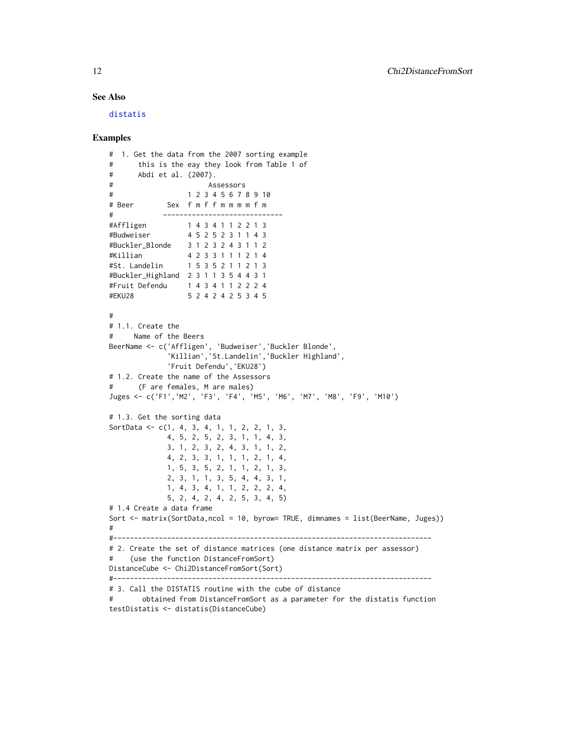### See Also

[distatis](#page-14-1)

### Examples

```
# 1. Get the data from the 2007 sorting example
# this is the eay they look from Table 1 of
# Abdi et al. (2007).
# Assessors
# 1 2 3 4 5 6 7 8 9 10
# Beer Sex f m f f m m m m f m
# -----------------------------
#Affligen 1 4 3 4 1 1 2 2 1 3
#Budweiser 4 5 2 5 2 3 1 1 4 3
#Buckler_Blonde 3 1 2 3 2 4 3 1 1 2
#Killian 4 2 3 3 1 1 1 2 1 4
#St. Landelin 1 5 3 5 2 1 1 2 1 3
#Buckler_Highland 2 3 1 1 3 5 4 4 3 1
#Fruit Defendu 1 4 3 4 1 1 2 2 2 4
#EKU28 5 2 4 2 4 2 5 3 4 5
#
# 1.1. Create the
# Name of the Beers
BeerName <- c('Affligen', 'Budweiser','Buckler Blonde',
             'Killian','St.Landelin','Buckler Highland',
             'Fruit Defendu','EKU28')
# 1.2. Create the name of the Assessors
# (F are females, M are males)
Juges <- c('F1','M2', 'F3', 'F4', 'M5', 'M6', 'M7', 'M8', 'F9', 'M10')
# 1.3. Get the sorting data
SortData <- c(1, 4, 3, 4, 1, 1, 2, 2, 1, 3,
             4, 5, 2, 5, 2, 3, 1, 1, 4, 3,
             3, 1, 2, 3, 2, 4, 3, 1, 1, 2,
             4, 2, 3, 3, 1, 1, 1, 2, 1, 4,
             1, 5, 3, 5, 2, 1, 1, 2, 1, 3,
             2, 3, 1, 1, 3, 5, 4, 4, 3, 1,
             1, 4, 3, 4, 1, 1, 2, 2, 2, 4,
             5, 2, 4, 2, 4, 2, 5, 3, 4, 5)
# 1.4 Create a data frame
Sort <- matrix(SortData,ncol = 10, byrow= TRUE, dimnames = list(BeerName, Juges))
#
#-----------------------------------------------------------------------------
# 2. Create the set of distance matrices (one distance matrix per assessor)
# (use the function DistanceFromSort)
DistanceCube <- Chi2DistanceFromSort(Sort)
#-----------------------------------------------------------------------------
# 3. Call the DISTATIS routine with the cube of distance
# obtained from DistanceFromSort as a parameter for the distatis function
testDistatis <- distatis(DistanceCube)
```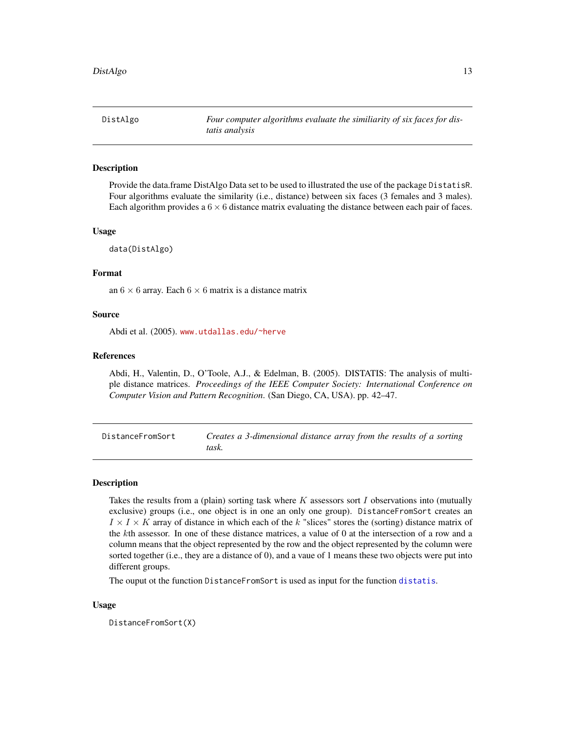<span id="page-12-0"></span>DistAlgo *Four computer algorithms evaluate the similiarity of six faces for distatis analysis*

### Description

Provide the data.frame DistAlgo Data set to be used to illustrated the use of the package DistatisR. Four algorithms evaluate the similarity (i.e., distance) between six faces (3 females and 3 males). Each algorithm provides a  $6 \times 6$  distance matrix evaluating the distance between each pair of faces.

#### Usage

data(DistAlgo)

### Format

an  $6 \times 6$  array. Each  $6 \times 6$  matrix is a distance matrix

#### Source

Abdi et al. (2005). <www.utdallas.edu/~herve>

### References

Abdi, H., Valentin, D., O'Toole, A.J., & Edelman, B. (2005). DISTATIS: The analysis of multiple distance matrices. *Proceedings of the IEEE Computer Society: International Conference on Computer Vision and Pattern Recognition*. (San Diego, CA, USA). pp. 42–47.

<span id="page-12-1"></span>DistanceFromSort *Creates a 3-dimensional distance array from the results of a sorting task.*

#### Description

Takes the results from a (plain) sorting task where  $K$  assessors sort  $I$  observations into (mutually exclusive) groups (i.e., one object is in one an only one group). DistanceFromSort creates an  $I \times I \times K$  array of distance in which each of the k "slices" stores the (sorting) distance matrix of the kth assessor. In one of these distance matrices, a value of 0 at the intersection of a row and a column means that the object represented by the row and the object represented by the column were sorted together (i.e., they are a distance of 0), and a vaue of 1 means these two objects were put into different groups.

The ouput ot the function DistanceFromSort is used as input for the function [distatis](#page-14-1).

#### Usage

DistanceFromSort(X)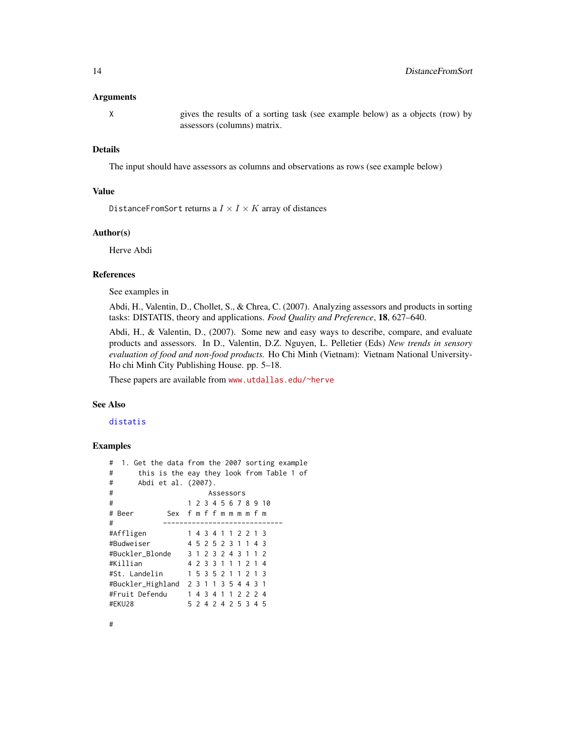#### <span id="page-13-0"></span>Arguments

X gives the results of a sorting task (see example below) as a objects (row) by assessors (columns) matrix.

### Details

The input should have assessors as columns and observations as rows (see example below)

### Value

DistanceFromSort returns a  $I \times I \times K$  array of distances

### Author(s)

Herve Abdi

#### References

See examples in

Abdi, H., Valentin, D., Chollet, S., & Chrea, C. (2007). Analyzing assessors and products in sorting tasks: DISTATIS, theory and applications. *Food Quality and Preference*, 18, 627–640.

Abdi, H., & Valentin, D., (2007). Some new and easy ways to describe, compare, and evaluate products and assessors. In D., Valentin, D.Z. Nguyen, L. Pelletier (Eds) *New trends in sensory evaluation of food and non-food products.* Ho Chi Minh (Vietnam): Vietnam National University-Ho chi Minh City Publishing House. pp. 5–18.

These papers are available from <www.utdallas.edu/~herve>

#### See Also

### [distatis](#page-14-1)

### Examples

#

| # |          |               |                | 1. Get the data from the 2007 sorting example |                     |  |           |  |                      |  |  |
|---|----------|---------------|----------------|-----------------------------------------------|---------------------|--|-----------|--|----------------------|--|--|
| # |          |               |                | this is the eay they look from Table 1 of     |                     |  |           |  |                      |  |  |
| # |          |               |                | Abdi et al. (2007).                           |                     |  |           |  |                      |  |  |
| # |          |               |                |                                               |                     |  | Assessors |  |                      |  |  |
| # |          |               |                |                                               |                     |  |           |  | 1 2 3 4 5 6 7 8 9 10 |  |  |
| # | Beer     |               |                | Sex fmffmmmmfm                                |                     |  |           |  |                      |  |  |
| # |          |               |                |                                               |                     |  |           |  |                      |  |  |
|   |          | #Affligen#    |                |                                               | 1 4 3 4 1 1 2 2 1 3 |  |           |  |                      |  |  |
|   |          | #Budweiser    |                |                                               | 4 5 2 5 2 3 1 1 4 3 |  |           |  |                      |  |  |
|   |          |               |                | #Buckler_Blonde 3 1 2 3 2 4 3 1 1 2           |                     |  |           |  |                      |  |  |
|   | #Killian |               |                |                                               | 4 2 3 3 1 1 1 2 1 4 |  |           |  |                      |  |  |
|   |          | #St. Landelin |                |                                               | 1535211213          |  |           |  |                      |  |  |
|   |          |               |                | #Buckler_Highland 2 3 1 1 3 5 4 4 3 1         |                     |  |           |  |                      |  |  |
|   |          |               | #Fruit Defendu |                                               | 1 4 3 4 1 1 2 2 2 4 |  |           |  |                      |  |  |
|   | #EKU28   |               |                |                                               | 5 2 4 2 4 2 5 3 4 5 |  |           |  |                      |  |  |
|   |          |               |                |                                               |                     |  |           |  |                      |  |  |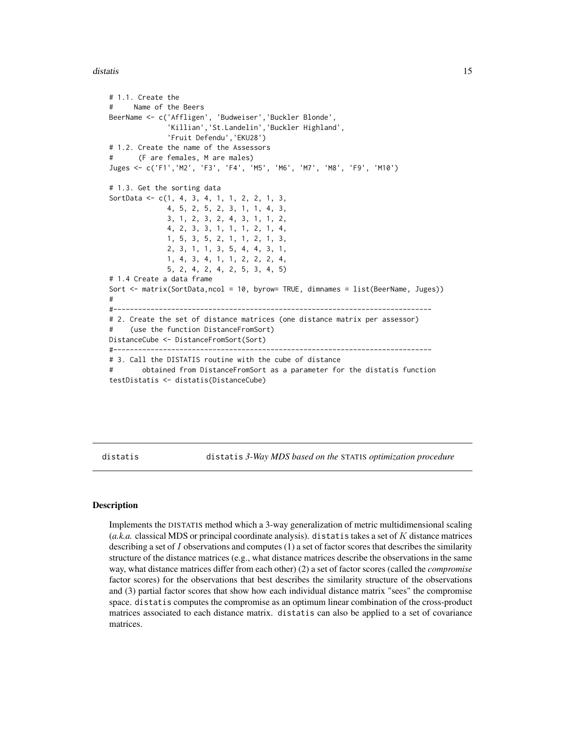#### <span id="page-14-0"></span>distatis and the contract of the contract of the contract of the contract of the contract of the contract of the contract of the contract of the contract of the contract of the contract of the contract of the contract of t

```
# 1.1. Create the
# Name of the Beers
BeerName <- c('Affligen', 'Budweiser','Buckler Blonde',
              'Killian','St.Landelin','Buckler Highland',
              'Fruit Defendu','EKU28')
# 1.2. Create the name of the Assessors
# (F are females, M are males)
Juges <- c('F1','M2', 'F3', 'F4', 'M5', 'M6', 'M7', 'M8', 'F9', 'M10')
# 1.3. Get the sorting data
SortData <- c(1, 4, 3, 4, 1, 1, 2, 2, 1, 3,
              4, 5, 2, 5, 2, 3, 1, 1, 4, 3,
              3, 1, 2, 3, 2, 4, 3, 1, 1, 2,
              4, 2, 3, 3, 1, 1, 1, 2, 1, 4,
              1, 5, 3, 5, 2, 1, 1, 2, 1, 3,
              2, 3, 1, 1, 3, 5, 4, 4, 3, 1,
              1, 4, 3, 4, 1, 1, 2, 2, 2, 4,
              5, 2, 4, 2, 4, 2, 5, 3, 4, 5)
# 1.4 Create a data frame
Sort <- matrix(SortData,ncol = 10, byrow= TRUE, dimnames = list(BeerName, Juges))
#
#-----------------------------------------------------------------------------
# 2. Create the set of distance matrices (one distance matrix per assessor)
# (use the function DistanceFromSort)
DistanceCube <- DistanceFromSort(Sort)
#-----------------------------------------------------------------------------
# 3. Call the DISTATIS routine with the cube of distance
# obtained from DistanceFromSort as a parameter for the distatis function
testDistatis <- distatis(DistanceCube)
```
<span id="page-14-1"></span>distatis distatis *3-Way MDS based on the* STATIS *optimization procedure*

#### Description

Implements the DISTATIS method which a 3-way generalization of metric multidimensional scaling (*a.k.a.* classical MDS or principal coordinate analysis). distatis takes a set of K distance matrices describing a set of  $I$  observations and computes  $(1)$  a set of factor scores that describes the similarity structure of the distance matrices (e.g., what distance matrices describe the observations in the same way, what distance matrices differ from each other) (2) a set of factor scores (called the *compromise* factor scores) for the observations that best describes the similarity structure of the observations and (3) partial factor scores that show how each individual distance matrix "sees" the compromise space. distatis computes the compromise as an optimum linear combination of the cross-product matrices associated to each distance matrix. distatis can also be applied to a set of covariance matrices.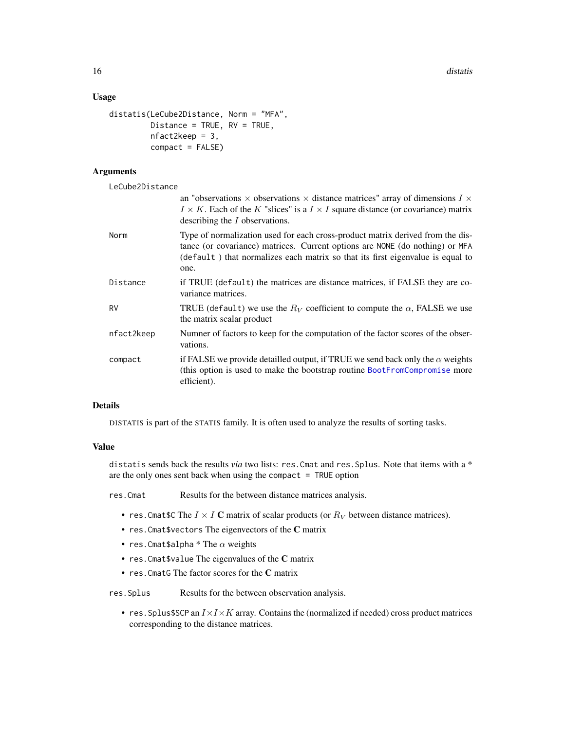### <span id="page-15-0"></span>Usage

```
distatis(LeCube2Distance, Norm = "MFA",
        Distance = TRUE, RV = TRUE,
        nfact2keep = 3,compact = FALSE)
```
### Arguments

LeCube2Distance

|            | an "observations $\times$ observations $\times$ distance matrices" array of dimensions $I \times$<br>$I \times K$ . Each of the K "slices" is a $I \times I$ square distance (or covariance) matrix<br>describing the <i>I</i> observations.             |
|------------|----------------------------------------------------------------------------------------------------------------------------------------------------------------------------------------------------------------------------------------------------------|
| Norm       | Type of normalization used for each cross-product matrix derived from the dis-<br>tance (or covariance) matrices. Current options are NONE (do nothing) or MFA<br>(default) that normalizes each matrix so that its first eigenvalue is equal to<br>one. |
| Distance   | if TRUE (default) the matrices are distance matrices, if FALSE they are co-<br>variance matrices.                                                                                                                                                        |
| RV         | TRUE (default) we use the $R_V$ coefficient to compute the $\alpha$ , FALSE we use<br>the matrix scalar product                                                                                                                                          |
| nfact2keep | Numner of factors to keep for the computation of the factor scores of the obser-<br>vations.                                                                                                                                                             |
| compact    | if FALSE we provide detailled output, if TRUE we send back only the $\alpha$ weights<br>(this option is used to make the bootstrap routine BootFromCompromise more<br>efficient).                                                                        |
|            |                                                                                                                                                                                                                                                          |

### Details

DISTATIS is part of the STATIS family. It is often used to analyze the results of sorting tasks.

### Value

distatis sends back the results *via* two lists: res.Cmat and res.Splus. Note that items with a \* are the only ones sent back when using the compact  $=$  TRUE option

res.Cmat Results for the between distance matrices analysis.

- res. Cmat \$C The  $I \times I$  C matrix of scalar products (or  $R_V$  between distance matrices).
- res.Cmat\$vectors The eigenvectors of the C matrix
- res. Cmat\$alpha \* The  $\alpha$  weights
- res.Cmat\$value The eigenvalues of the C matrix
- res.CmatG The factor scores for the C matrix

res.Splus Results for the between observation analysis.

• res. Splus\$SCP an  $I \times I \times K$  array. Contains the (normalized if needed) cross product matrices corresponding to the distance matrices.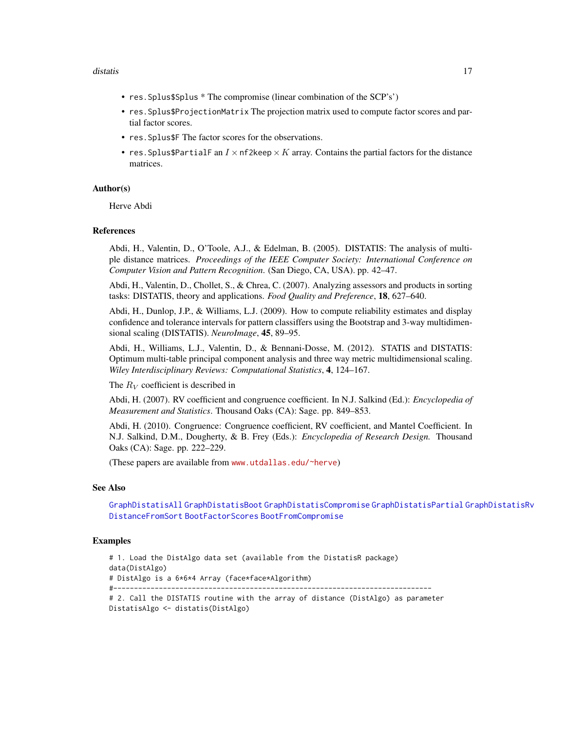#### <span id="page-16-0"></span>distatis and the contract of the contract of the contract of the contract of the contract of the contract of the contract of the contract of the contract of the contract of the contract of the contract of the contract of t

- res.Splus\$Splus \* The compromise (linear combination of the SCP's')
- res.Splus\$ProjectionMatrix The projection matrix used to compute factor scores and partial factor scores.
- res.Splus\$F The factor scores for the observations.
- res. Splus \$PartialF an  $I \times n$  f2keep  $\times K$  array. Contains the partial factors for the distance matrices.

### Author(s)

Herve Abdi

#### References

Abdi, H., Valentin, D., O'Toole, A.J., & Edelman, B. (2005). DISTATIS: The analysis of multiple distance matrices. *Proceedings of the IEEE Computer Society: International Conference on Computer Vision and Pattern Recognition*. (San Diego, CA, USA). pp. 42–47.

Abdi, H., Valentin, D., Chollet, S., & Chrea, C. (2007). Analyzing assessors and products in sorting tasks: DISTATIS, theory and applications. *Food Quality and Preference*, 18, 627–640.

Abdi, H., Dunlop, J.P., & Williams, L.J. (2009). How to compute reliability estimates and display confidence and tolerance intervals for pattern classiffers using the Bootstrap and 3-way multidimensional scaling (DISTATIS). *NeuroImage*, 45, 89–95.

Abdi, H., Williams, L.J., Valentin, D., & Bennani-Dosse, M. (2012). STATIS and DISTATIS: Optimum multi-table principal component analysis and three way metric multidimensional scaling. *Wiley Interdisciplinary Reviews: Computational Statistics*, 4, 124–167.

The  $R_V$  coefficient is described in

Abdi, H. (2007). RV coefficient and congruence coefficient. In N.J. Salkind (Ed.): *Encyclopedia of Measurement and Statistics*. Thousand Oaks (CA): Sage. pp. 849–853.

Abdi, H. (2010). Congruence: Congruence coefficient, RV coefficient, and Mantel Coefficient. In N.J. Salkind, D.M., Dougherty, & B. Frey (Eds.): *Encyclopedia of Research Design.* Thousand Oaks (CA): Sage. pp. 222–229.

(These papers are available from <www.utdallas.edu/~herve>)

#### See Also

[GraphDistatisAll](#page-17-1) [GraphDistatisBoot](#page-19-1) [GraphDistatisCompromise](#page-21-1) [GraphDistatisPartial](#page-23-1) [GraphDistatisRv](#page-24-1) [DistanceFromSort](#page-12-1) [BootFactorScores](#page-4-1) [BootFromCompromise](#page-6-1)

### Examples

# 1. Load the DistAlgo data set (available from the DistatisR package) data(DistAlgo) # DistAlgo is a 6\*6\*4 Array (face\*face\*Algorithm)

#-----------------------------------------------------------------------------

# 2. Call the DISTATIS routine with the array of distance (DistAlgo) as parameter DistatisAlgo <- distatis(DistAlgo)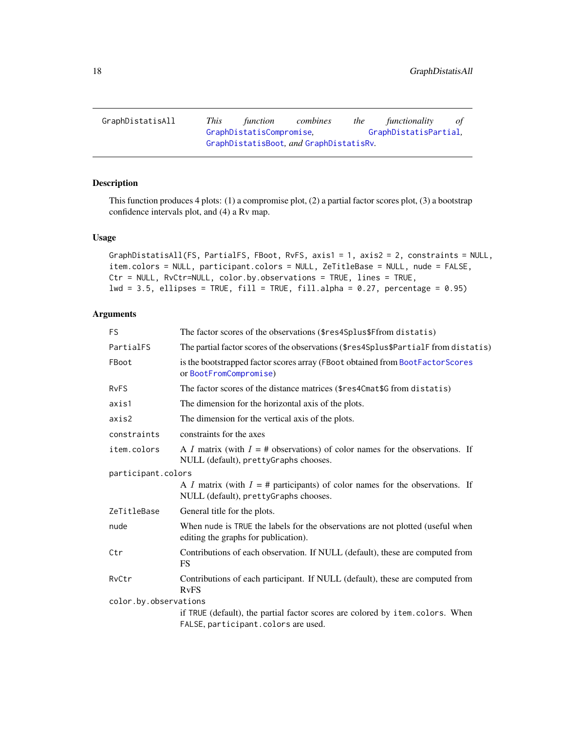<span id="page-17-1"></span><span id="page-17-0"></span>GraphDistatisAll *This function combines the functionality of* [GraphDistatisCompromise](#page-21-1)*,* [GraphDistatisPartial](#page-23-1)*,* [GraphDistatisBoot](#page-19-1)*, and* [GraphDistatisRv](#page-24-1)*.*

### Description

This function produces 4 plots: (1) a compromise plot, (2) a partial factor scores plot, (3) a bootstrap confidence intervals plot, and (4) a Rv map.

### Usage

```
GraphDistatisAll(FS, PartialFS, FBoot, RvFS, axis1 = 1, axis2 = 2, constraints = NULL,
item.colors = NULL, participant.colors = NULL, ZeTitleBase = NULL, nude = FALSE,
Ctr = NULL, RvCtr=NULL, color.by.observations = TRUE, lines = TRUE,
lwd = 3.5, ellipses = TRUE, fill = TRUE, fill.alpha = 0.27, percentage = 0.95)
```
### Arguments

| <b>FS</b>             | The factor scores of the observations (\$res4Splus\$Ffrom distatis)                                                     |
|-----------------------|-------------------------------------------------------------------------------------------------------------------------|
| PartialFS             | The partial factor scores of the observations (\$res4Splus\$PartialF from distatis)                                     |
| FBoot                 | is the bootstrapped factor scores array (FBoot obtained from BootFactorScores<br>or BootFromCompromise)                 |
| <b>RvFS</b>           | The factor scores of the distance matrices (\$res4Cmat\$G from distatis)                                                |
| axis1                 | The dimension for the horizontal axis of the plots.                                                                     |
| axis2                 | The dimension for the vertical axis of the plots.                                                                       |
| constraints           | constraints for the axes                                                                                                |
| item.colors           | A I matrix (with $I = #$ observations) of color names for the observations. If<br>NULL (default), prettyGraphs chooses. |
| participant.colors    |                                                                                                                         |
|                       | A I matrix (with $I = #$ participants) of color names for the observations. If<br>NULL (default), prettyGraphs chooses. |
| ZeTitleBase           | General title for the plots.                                                                                            |
| nude                  | When nude is TRUE the labels for the observations are not plotted (useful when<br>editing the graphs for publication).  |
| Ctr                   | Contributions of each observation. If NULL (default), these are computed from<br><b>FS</b>                              |
| RvCtr                 | Contributions of each participant. If NULL (default), these are computed from<br><b>RvFS</b>                            |
| color.by.observations |                                                                                                                         |
|                       | if TRUE (default), the partial factor scores are colored by item.colors. When<br>FALSE, participant.colors are used.    |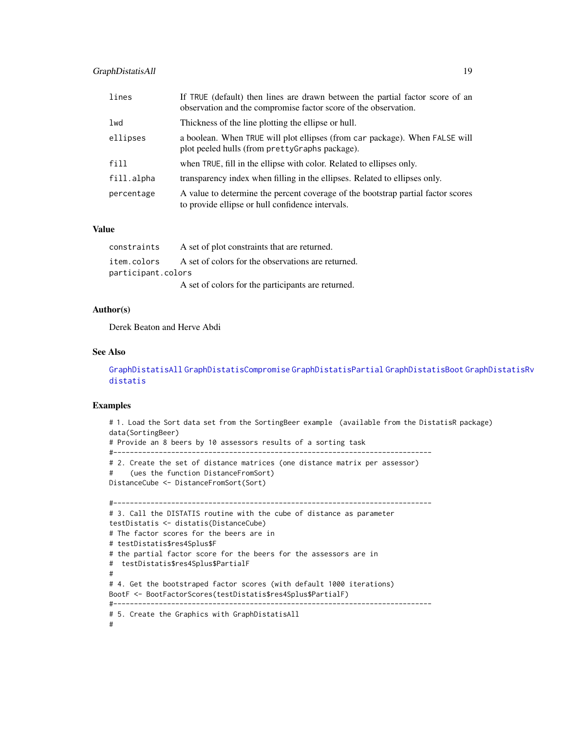### <span id="page-18-0"></span>GraphDistatisAll 19

| lines      | If TRUE (default) then lines are drawn between the partial factor score of an<br>observation and the compromise factor score of the observation. |
|------------|--------------------------------------------------------------------------------------------------------------------------------------------------|
| lwd        | Thickness of the line plotting the ellipse or hull.                                                                                              |
| ellipses   | a boolean. When TRUE will plot ellipses (from car package). When FALSE will<br>plot peeled hulls (from prettyGraphs package).                    |
| fill       | when TRUE, fill in the ellipse with color. Related to ellipses only.                                                                             |
| fill.alpha | transparency index when filling in the ellipses. Related to ellipses only.                                                                       |
| percentage | A value to determine the percent coverage of the bootstrap partial factor scores<br>to provide ellipse or hull confidence intervals.             |

### Value

| constraints        | A set of plot constraints that are returned.       |
|--------------------|----------------------------------------------------|
| item.colors        | A set of colors for the observations are returned. |
| participant.colors |                                                    |
|                    | A set of colors for the participants are returned. |

### Author(s)

Derek Beaton and Herve Abdi

#### See Also

```
GraphDistatisAll GraphDistatisCompromise GraphDistatisPartial GraphDistatisBoot GraphDistatisRv
distatis
```
### Examples

```
# 1. Load the Sort data set from the SortingBeer example (available from the DistatisR package)
data(SortingBeer)
# Provide an 8 beers by 10 assessors results of a sorting task
#-----------------------------------------------------------------------------
# 2. Create the set of distance matrices (one distance matrix per assessor)
# (ues the function DistanceFromSort)
DistanceCube <- DistanceFromSort(Sort)
#-----------------------------------------------------------------------------
# 3. Call the DISTATIS routine with the cube of distance as parameter
testDistatis <- distatis(DistanceCube)
# The factor scores for the beers are in
# testDistatis$res4Splus$F
# the partial factor score for the beers for the assessors are in
# testDistatis$res4Splus$PartialF
#
# 4. Get the bootstraped factor scores (with default 1000 iterations)
BootF <- BootFactorScores(testDistatis$res4Splus$PartialF)
#-----------------------------------------------------------------------------
# 5. Create the Graphics with GraphDistatisAll
#
```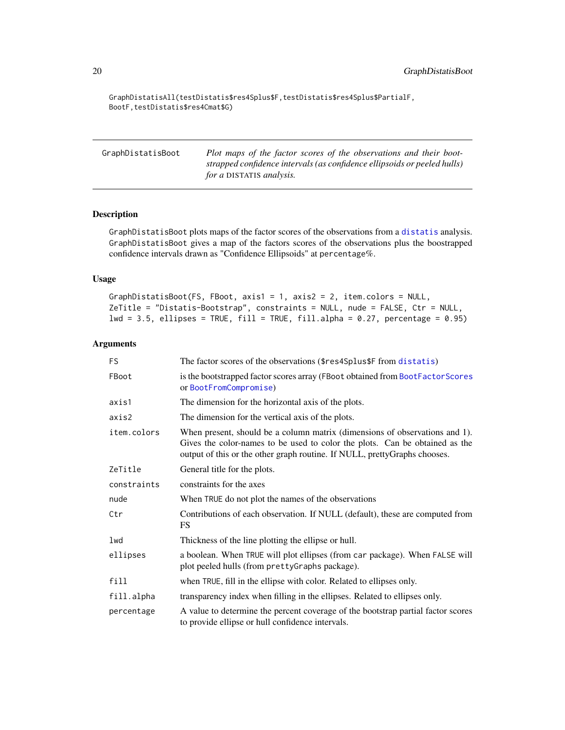<span id="page-19-0"></span>GraphDistatisAll(testDistatis\$res4Splus\$F,testDistatis\$res4Splus\$PartialF, BootF, testDistatis\$res4Cmat\$G)

<span id="page-19-1"></span>

| GraphDistatisBoot | Plot maps of the factor scores of the observations and their boot-       |
|-------------------|--------------------------------------------------------------------------|
|                   | strapped confidence intervals (as confidence ellipsoids or peeled hulls) |
|                   | <i>for a DISTATIS analysis.</i>                                          |

### Description

GraphDistatisBoot plots maps of the factor scores of the observations from a [distatis](#page-14-1) analysis. GraphDistatisBoot gives a map of the factors scores of the observations plus the boostrapped confidence intervals drawn as "Confidence Ellipsoids" at percentage%.

### Usage

```
GraphDistatisBoot(FS, FBoot, axis1 = 1, axis2 = 2, item.colors = NULL,
ZeTitle = "Distatis-Bootstrap", constraints = NULL, nude = FALSE, Ctr = NULL,
lwd = 3.5, ellipses = TRUE, fill = TRUE, fill.alpha = 0.27, percentage = 0.95)
```
### Arguments

| <b>FS</b>   | The factor scores of the observations (\$res4Splus\$F from distatis)                                                                                                                                                                    |
|-------------|-----------------------------------------------------------------------------------------------------------------------------------------------------------------------------------------------------------------------------------------|
| FBoot       | is the bootstrapped factor scores array (FBoot obtained from BootFactorScores<br>or BootFromCompromise)                                                                                                                                 |
| axis1       | The dimension for the horizontal axis of the plots.                                                                                                                                                                                     |
| axis2       | The dimension for the vertical axis of the plots.                                                                                                                                                                                       |
| item.colors | When present, should be a column matrix (dimensions of observations and 1).<br>Gives the color-names to be used to color the plots. Can be obtained as the<br>output of this or the other graph routine. If NULL, prettyGraphs chooses. |
| ZeTitle     | General title for the plots.                                                                                                                                                                                                            |
| constraints | constraints for the axes                                                                                                                                                                                                                |
| nude        | When TRUE do not plot the names of the observations                                                                                                                                                                                     |
| Ctr         | Contributions of each observation. If NULL (default), these are computed from<br><b>FS</b>                                                                                                                                              |
| lwd         | Thickness of the line plotting the ellipse or hull.                                                                                                                                                                                     |
| ellipses    | a boolean. When TRUE will plot ellipses (from car package). When FALSE will<br>plot peeled hulls (from prettyGraphs package).                                                                                                           |
| fill        | when TRUE, fill in the ellipse with color. Related to ellipses only.                                                                                                                                                                    |
| fill.alpha  | transparency index when filling in the ellipses. Related to ellipses only.                                                                                                                                                              |
| percentage  | A value to determine the percent coverage of the bootstrap partial factor scores<br>to provide ellipse or hull confidence intervals.                                                                                                    |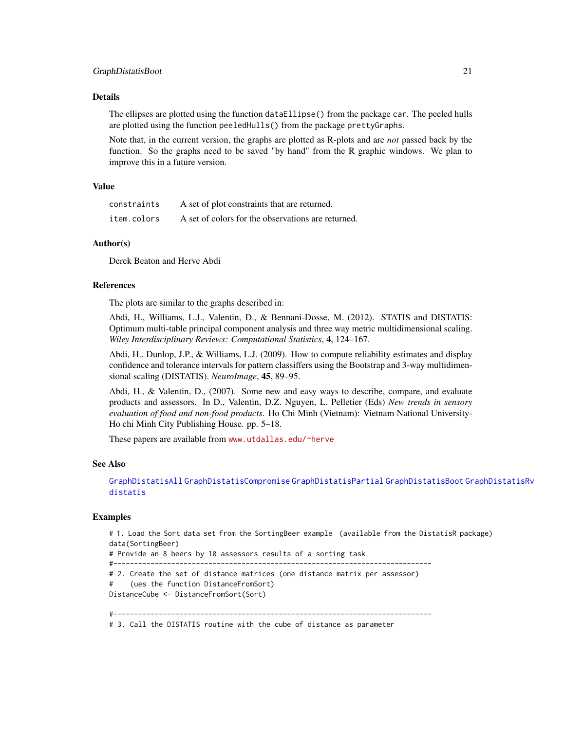#### <span id="page-20-0"></span>GraphDistatisBoot 21

### Details

The ellipses are plotted using the function dataEllipse() from the package car. The peeled hulls are plotted using the function peeledHulls() from the package prettyGraphs.

Note that, in the current version, the graphs are plotted as R-plots and are *not* passed back by the function. So the graphs need to be saved "by hand" from the R graphic windows. We plan to improve this in a future version.

### Value

| constraints | A set of plot constraints that are returned.       |
|-------------|----------------------------------------------------|
| item.colors | A set of colors for the observations are returned. |

### Author(s)

Derek Beaton and Herve Abdi

### References

The plots are similar to the graphs described in:

Abdi, H., Williams, L.J., Valentin, D., & Bennani-Dosse, M. (2012). STATIS and DISTATIS: Optimum multi-table principal component analysis and three way metric multidimensional scaling. *Wiley Interdisciplinary Reviews: Computational Statistics*, 4, 124–167.

Abdi, H., Dunlop, J.P., & Williams, L.J. (2009). How to compute reliability estimates and display confidence and tolerance intervals for pattern classiffers using the Bootstrap and 3-way multidimensional scaling (DISTATIS). *NeuroImage*, 45, 89–95.

Abdi, H., & Valentin, D., (2007). Some new and easy ways to describe, compare, and evaluate products and assessors. In D., Valentin, D.Z. Nguyen, L. Pelletier (Eds) *New trends in sensory evaluation of food and non-food products*. Ho Chi Minh (Vietnam): Vietnam National University-Ho chi Minh City Publishing House. pp. 5–18.

These papers are available from <www.utdallas.edu/~herve>

### See Also

[GraphDistatisAll](#page-17-1) [GraphDistatisCompromise](#page-21-1) [GraphDistatisPartial](#page-23-1) [GraphDistatisBoot](#page-19-1) [GraphDistatisRv](#page-24-1) [distatis](#page-14-1)

#### Examples

# 1. Load the Sort data set from the SortingBeer example (available from the DistatisR package) data(SortingBeer) # Provide an 8 beers by 10 assessors results of a sorting task #----------------------------------------------------------------------------- # 2. Create the set of distance matrices (one distance matrix per assessor) # (ues the function DistanceFromSort) DistanceCube <- DistanceFromSort(Sort) #----------------------------------------------------------------------------- # 3. Call the DISTATIS routine with the cube of distance as parameter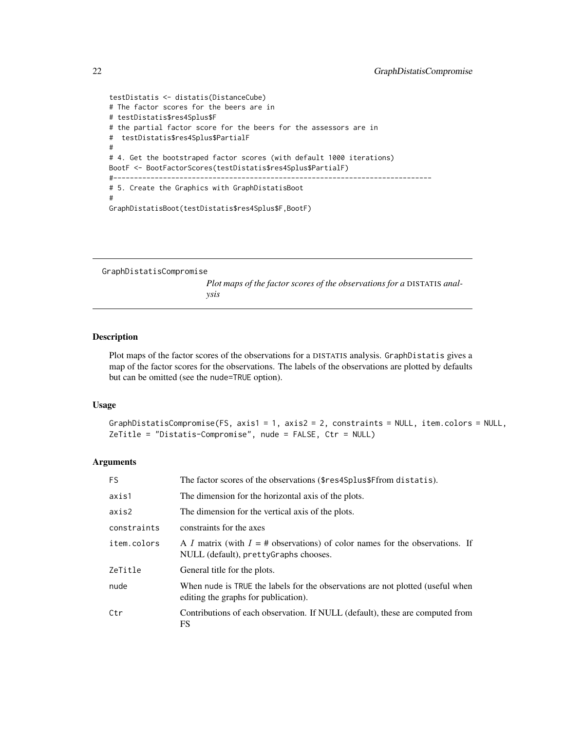```
testDistatis <- distatis(DistanceCube)
# The factor scores for the beers are in
# testDistatis$res4Splus$F
# the partial factor score for the beers for the assessors are in
# testDistatis$res4Splus$PartialF
#
# 4. Get the bootstraped factor scores (with default 1000 iterations)
BootF <- BootFactorScores(testDistatis$res4Splus$PartialF)
#-----------------------------------------------------------------------------
# 5. Create the Graphics with GraphDistatisBoot
#
GraphDistatisBoot(testDistatis$res4Splus$F,BootF)
```

```
GraphDistatisCompromise
```
*Plot maps of the factor scores of the observations for a* DISTATIS *analysis*

### Description

Plot maps of the factor scores of the observations for a DISTATIS analysis. GraphDistatis gives a map of the factor scores for the observations. The labels of the observations are plotted by defaults but can be omitted (see the nude=TRUE option).

### Usage

```
GraphDistatisCompromise(FS, axis1 = 1, axis2 = 2, constraints = NULL, item.colors = NULL,
ZeTitle = "Distatis-Compromise", nude = FALSE, Ctr = NULL)
```
### Arguments

| FS.         | The factor scores of the observations (\$res4Splus\$Ffrom distatis).                                                    |
|-------------|-------------------------------------------------------------------------------------------------------------------------|
| axis1       | The dimension for the horizontal axis of the plots.                                                                     |
| axis2       | The dimension for the vertical axis of the plots.                                                                       |
| constraints | constraints for the axes                                                                                                |
| item.colors | A I matrix (with $I = #$ observations) of color names for the observations. If<br>NULL (default), prettyGraphs chooses. |
| ZeTitle     | General title for the plots.                                                                                            |
| nude        | When nude is TRUE the labels for the observations are not plotted (useful when<br>editing the graphs for publication).  |
| Ctr         | Contributions of each observation. If NULL (default), these are computed from<br>FS                                     |

<span id="page-21-0"></span>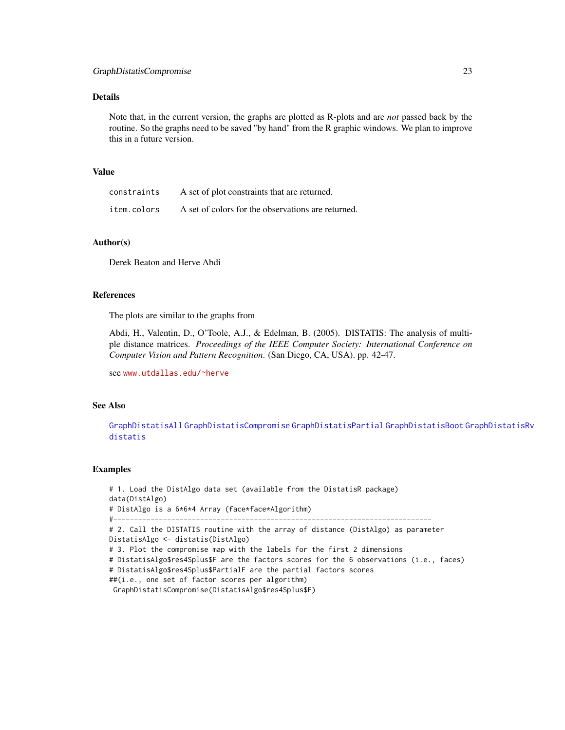### <span id="page-22-0"></span>Details

Note that, in the current version, the graphs are plotted as R-plots and are *not* passed back by the routine. So the graphs need to be saved "by hand" from the R graphic windows. We plan to improve this in a future version.

### Value

| constraints | A set of plot constraints that are returned.       |
|-------------|----------------------------------------------------|
| item.colors | A set of colors for the observations are returned. |

### Author(s)

Derek Beaton and Herve Abdi

### References

The plots are similar to the graphs from

Abdi, H., Valentin, D., O'Toole, A.J., & Edelman, B. (2005). DISTATIS: The analysis of multiple distance matrices. *Proceedings of the IEEE Computer Society: International Conference on Computer Vision and Pattern Recognition*. (San Diego, CA, USA). pp. 42-47.

see <www.utdallas.edu/~herve>

### See Also

[GraphDistatisAll](#page-17-1) [GraphDistatisCompromise](#page-21-1) [GraphDistatisPartial](#page-23-1) [GraphDistatisBoot](#page-19-1) [GraphDistatisRv](#page-24-1) [distatis](#page-14-1)

#### Examples

```
# 1. Load the DistAlgo data set (available from the DistatisR package)
data(DistAlgo)
# DistAlgo is a 6*6*4 Array (face*face*Algorithm)
#-----------------------------------------------------------------------------
# 2. Call the DISTATIS routine with the array of distance (DistAlgo) as parameter
DistatisAlgo <- distatis(DistAlgo)
# 3. Plot the compromise map with the labels for the first 2 dimensions
# DistatisAlgo$res4Splus$F are the factors scores for the 6 observations (i.e., faces)
# DistatisAlgo$res4Splus$PartialF are the partial factors scores
##(i.e., one set of factor scores per algorithm)
GraphDistatisCompromise(DistatisAlgo$res4Splus$F)
```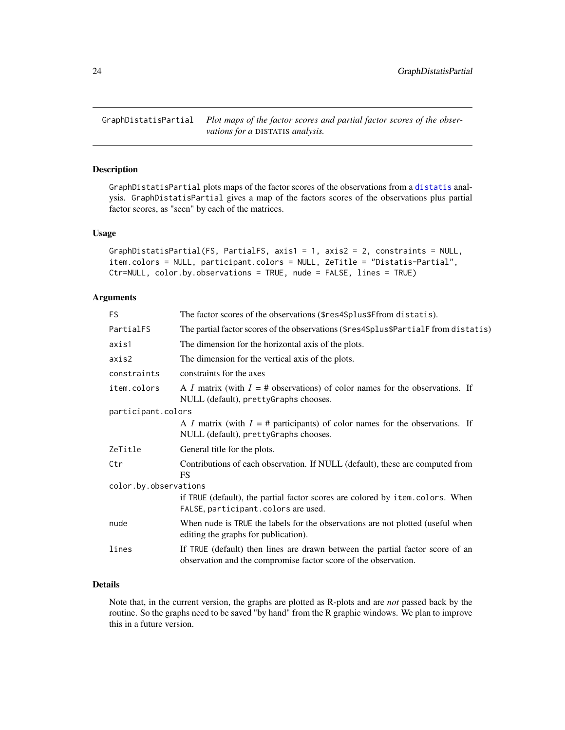<span id="page-23-1"></span><span id="page-23-0"></span>GraphDistatisPartial *Plot maps of the factor scores and partial factor scores of the observations for a* DISTATIS *analysis.*

### Description

GraphDistatisPartial plots maps of the factor scores of the observations from a [distatis](#page-14-1) analysis. GraphDistatisPartial gives a map of the factors scores of the observations plus partial factor scores, as "seen" by each of the matrices.

### Usage

```
GraphDistatisPartial(FS, PartialFS, axis1 = 1, axis2 = 2, constraints = NULL,
item.colors = NULL, participant.colors = NULL, ZeTitle = "Distatis-Partial",
Ctr=NULL, color.by.observations = TRUE, nude = FALSE, lines = TRUE)
```
### Arguments

| <b>FS</b>             | The factor scores of the observations (\$res4Splus\$Ffrom distatis).                                                                             |  |
|-----------------------|--------------------------------------------------------------------------------------------------------------------------------------------------|--|
| PartialFS             | The partial factor scores of the observations (\$res4Splus\$PartialF from distatis)                                                              |  |
| axis1                 | The dimension for the horizontal axis of the plots.                                                                                              |  |
| axis2                 | The dimension for the vertical axis of the plots.                                                                                                |  |
| constraints           | constraints for the axes                                                                                                                         |  |
| item.colors           | A I matrix (with $I = #$ observations) of color names for the observations. If<br>NULL (default), prettyGraphs chooses.                          |  |
| participant.colors    |                                                                                                                                                  |  |
|                       | A I matrix (with $I = #$ participants) of color names for the observations. If<br>NULL (default), prettyGraphs chooses.                          |  |
| ZeTitle               | General title for the plots.                                                                                                                     |  |
| Ctr                   | Contributions of each observation. If NULL (default), these are computed from<br><b>FS</b>                                                       |  |
| color.by.observations |                                                                                                                                                  |  |
|                       | if TRUE (default), the partial factor scores are colored by item.colors. When<br>FALSE, participant.colors are used.                             |  |
| nude                  | When nude is TRUE the labels for the observations are not plotted (useful when<br>editing the graphs for publication).                           |  |
| lines                 | If TRUE (default) then lines are drawn between the partial factor score of an<br>observation and the compromise factor score of the observation. |  |
|                       |                                                                                                                                                  |  |

### Details

Note that, in the current version, the graphs are plotted as R-plots and are *not* passed back by the routine. So the graphs need to be saved "by hand" from the R graphic windows. We plan to improve this in a future version.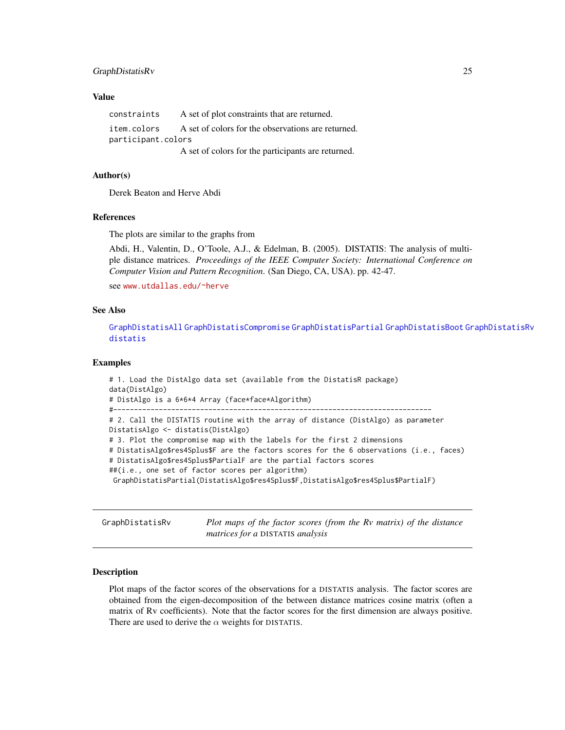#### <span id="page-24-0"></span>GraphDistatisRv 25

### Value

constraints A set of plot constraints that are returned. item.colors A set of colors for the observations are returned. participant.colors A set of colors for the participants are returned.

### Author(s)

Derek Beaton and Herve Abdi

### References

The plots are similar to the graphs from

Abdi, H., Valentin, D., O'Toole, A.J., & Edelman, B. (2005). DISTATIS: The analysis of multiple distance matrices. *Proceedings of the IEEE Computer Society: International Conference on Computer Vision and Pattern Recognition*. (San Diego, CA, USA). pp. 42-47.

see <www.utdallas.edu/~herve>

### See Also

[GraphDistatisAll](#page-17-1) [GraphDistatisCompromise](#page-21-1) [GraphDistatisPartial](#page-23-1) [GraphDistatisBoot](#page-19-1) [GraphDistatisRv](#page-24-1) [distatis](#page-14-1)

### Examples

```
# 1. Load the DistAlgo data set (available from the DistatisR package)
data(DistAlgo)
# DistAlgo is a 6*6*4 Array (face*face*Algorithm)
#-----------------------------------------------------------------------------
# 2. Call the DISTATIS routine with the array of distance (DistAlgo) as parameter
DistatisAlgo <- distatis(DistAlgo)
# 3. Plot the compromise map with the labels for the first 2 dimensions
# DistatisAlgo$res4Splus$F are the factors scores for the 6 observations (i.e., faces)
# DistatisAlgo$res4Splus$PartialF are the partial factors scores
##(i.e., one set of factor scores per algorithm)
GraphDistatisPartial(DistatisAlgo$res4Splus$F,DistatisAlgo$res4Splus$PartialF)
```
<span id="page-24-1"></span>GraphDistatisRv *Plot maps of the factor scores (from the Rv matrix) of the distance matrices for a* DISTATIS *analysis*

### Description

Plot maps of the factor scores of the observations for a DISTATIS analysis. The factor scores are obtained from the eigen-decomposition of the between distance matrices cosine matrix (often a matrix of Rv coefficients). Note that the factor scores for the first dimension are always positive. There are used to derive the  $\alpha$  weights for DISTATIS.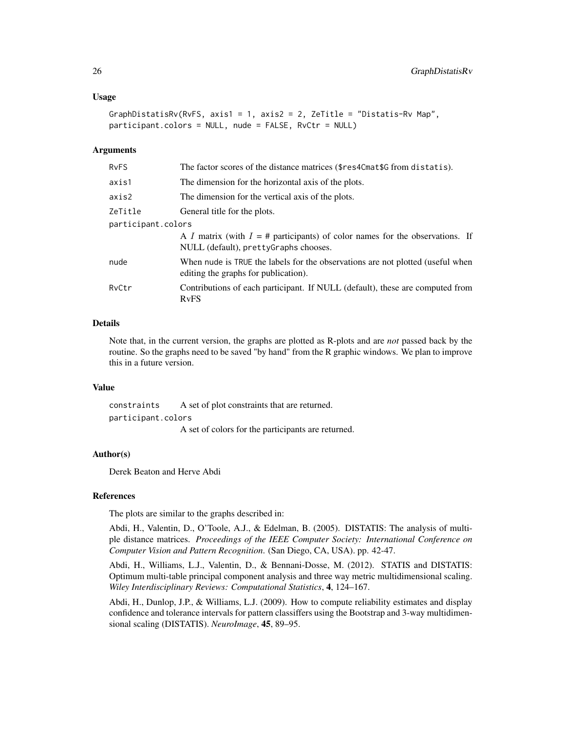#### Usage

```
GraphDistatisRv(RvFS, axis1 = 1, axis2 = 2, ZeTitle = "Distatis-Rv Map",
participant.colors = NULL, nude = FALSE, RvCtr = NULL)
```
#### Arguments

| <b>RvFS</b>        | The factor scores of the distance matrices (\$res4Cmat\$G from distatis).                                               |  |
|--------------------|-------------------------------------------------------------------------------------------------------------------------|--|
| axis1              | The dimension for the horizontal axis of the plots.                                                                     |  |
| axis2              | The dimension for the vertical axis of the plots.                                                                       |  |
| ZeTitle            | General title for the plots.                                                                                            |  |
| participant.colors |                                                                                                                         |  |
|                    | A I matrix (with $I = #$ participants) of color names for the observations. If<br>NULL (default), prettyGraphs chooses. |  |
| nude               | When nude is TRUE the labels for the observations are not plotted (useful when<br>editing the graphs for publication).  |  |
| RvCtr              | Contributions of each participant. If NULL (default), these are computed from<br><b>RvFS</b>                            |  |

### Details

Note that, in the current version, the graphs are plotted as R-plots and are *not* passed back by the routine. So the graphs need to be saved "by hand" from the R graphic windows. We plan to improve this in a future version.

### Value

constraints A set of plot constraints that are returned. participant.colors

A set of colors for the participants are returned.

#### Author(s)

Derek Beaton and Herve Abdi

#### References

The plots are similar to the graphs described in:

Abdi, H., Valentin, D., O'Toole, A.J., & Edelman, B. (2005). DISTATIS: The analysis of multiple distance matrices. *Proceedings of the IEEE Computer Society: International Conference on Computer Vision and Pattern Recognition*. (San Diego, CA, USA). pp. 42-47.

Abdi, H., Williams, L.J., Valentin, D., & Bennani-Dosse, M. (2012). STATIS and DISTATIS: Optimum multi-table principal component analysis and three way metric multidimensional scaling. *Wiley Interdisciplinary Reviews: Computational Statistics*, 4, 124–167.

Abdi, H., Dunlop, J.P., & Williams, L.J. (2009). How to compute reliability estimates and display confidence and tolerance intervals for pattern classiffers using the Bootstrap and 3-way multidimensional scaling (DISTATIS). *NeuroImage*, 45, 89–95.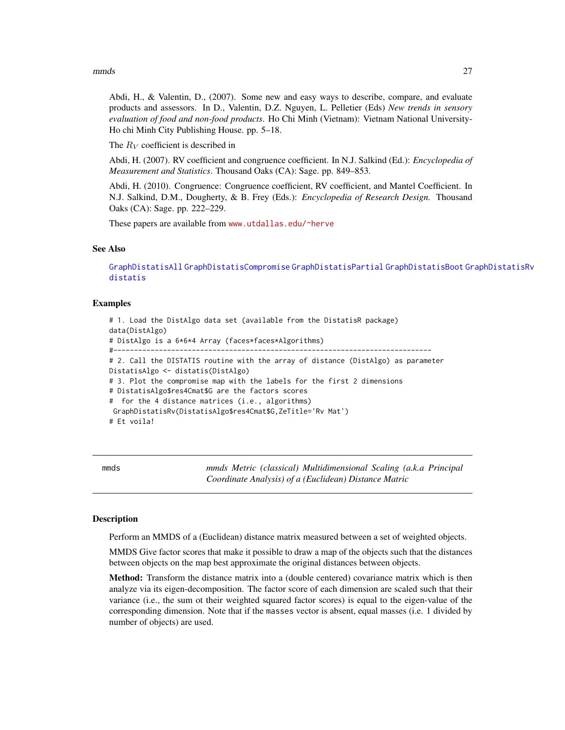#### <span id="page-26-0"></span>mmds 27

Abdi, H., & Valentin, D., (2007). Some new and easy ways to describe, compare, and evaluate products and assessors. In D., Valentin, D.Z. Nguyen, L. Pelletier (Eds) *New trends in sensory evaluation of food and non-food products*. Ho Chi Minh (Vietnam): Vietnam National University-Ho chi Minh City Publishing House. pp. 5–18.

The  $R_V$  coefficient is described in

Abdi, H. (2007). RV coefficient and congruence coefficient. In N.J. Salkind (Ed.): *Encyclopedia of Measurement and Statistics*. Thousand Oaks (CA): Sage. pp. 849–853.

Abdi, H. (2010). Congruence: Congruence coefficient, RV coefficient, and Mantel Coefficient. In N.J. Salkind, D.M., Dougherty, & B. Frey (Eds.): *Encyclopedia of Research Design.* Thousand Oaks (CA): Sage. pp. 222–229.

These papers are available from <www.utdallas.edu/~herve>

### See Also

[GraphDistatisAll](#page-17-1) [GraphDistatisCompromise](#page-21-1) [GraphDistatisPartial](#page-23-1) [GraphDistatisBoot](#page-19-1) [GraphDistatisRv](#page-24-1) [distatis](#page-14-1)

### Examples

```
# 1. Load the DistAlgo data set (available from the DistatisR package)
data(DistAlgo)
# DistAlgo is a 6*6*4 Array (faces*faces*Algorithms)
#-----------------------------------------------------------------------------
# 2. Call the DISTATIS routine with the array of distance (DistAlgo) as parameter
DistatisAlgo <- distatis(DistAlgo)
# 3. Plot the compromise map with the labels for the first 2 dimensions
# DistatisAlgo$res4Cmat$G are the factors scores
# for the 4 distance matrices (i.e., algorithms)
GraphDistatisRv(DistatisAlgo$res4Cmat$G,ZeTitle='Rv Mat')
# Et voila!
```
<span id="page-26-1"></span>mmds *mmds Metric (classical) Multidimensional Scaling (a.k.a Principal Coordinate Analysis) of a (Euclidean) Distance Matric*

### **Description**

Perform an MMDS of a (Euclidean) distance matrix measured between a set of weighted objects.

MMDS Give factor scores that make it possible to draw a map of the objects such that the distances between objects on the map best approximate the original distances between objects.

Method: Transform the distance matrix into a (double centered) covariance matrix which is then analyze via its eigen-decomposition. The factor score of each dimension are scaled such that their variance (i.e., the sum ot their weighted squared factor scores) is equal to the eigen-value of the corresponding dimension. Note that if the masses vector is absent, equal masses (i.e. 1 divided by number of objects) are used.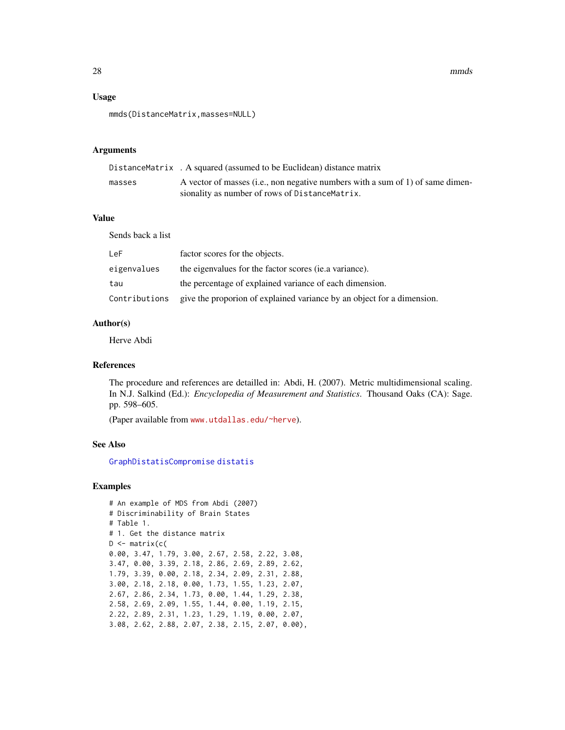### <span id="page-27-0"></span>Usage

mmds(DistanceMatrix,masses=NULL)

#### Arguments

|        | DistanceMatrix . A squared (assumed to be Euclidean) distance matrix                                                             |
|--------|----------------------------------------------------------------------------------------------------------------------------------|
| masses | A vector of masses (i.e., non negative numbers with a sum of 1) of same dimen-<br>sionality as number of rows of DistanceMatrix. |

### Value

Sends back a list

| LeF           | factor scores for the objects.                                         |
|---------------|------------------------------------------------------------------------|
| eigenvalues   | the eigenvalues for the factor scores (ie.a variance).                 |
| tau           | the percentage of explained variance of each dimension.                |
| Contributions | give the proporion of explained variance by an object for a dimension. |

### Author(s)

Herve Abdi

### References

The procedure and references are detailled in: Abdi, H. (2007). Metric multidimensional scaling. In N.J. Salkind (Ed.): *Encyclopedia of Measurement and Statistics*. Thousand Oaks (CA): Sage. pp. 598–605.

(Paper available from <www.utdallas.edu/~herve>).

### See Also

[GraphDistatisCompromise](#page-21-1) [distatis](#page-14-1)

### Examples

```
# An example of MDS from Abdi (2007)
# Discriminability of Brain States
# Table 1.
# 1. Get the distance matrix
D <- matrix(c(
0.00, 3.47, 1.79, 3.00, 2.67, 2.58, 2.22, 3.08,
3.47, 0.00, 3.39, 2.18, 2.86, 2.69, 2.89, 2.62,
1.79, 3.39, 0.00, 2.18, 2.34, 2.09, 2.31, 2.88,
3.00, 2.18, 2.18, 0.00, 1.73, 1.55, 1.23, 2.07,
2.67, 2.86, 2.34, 1.73, 0.00, 1.44, 1.29, 2.38,
2.58, 2.69, 2.09, 1.55, 1.44, 0.00, 1.19, 2.15,
2.22, 2.89, 2.31, 1.23, 1.29, 1.19, 0.00, 2.07,
3.08, 2.62, 2.88, 2.07, 2.38, 2.15, 2.07, 0.00),
```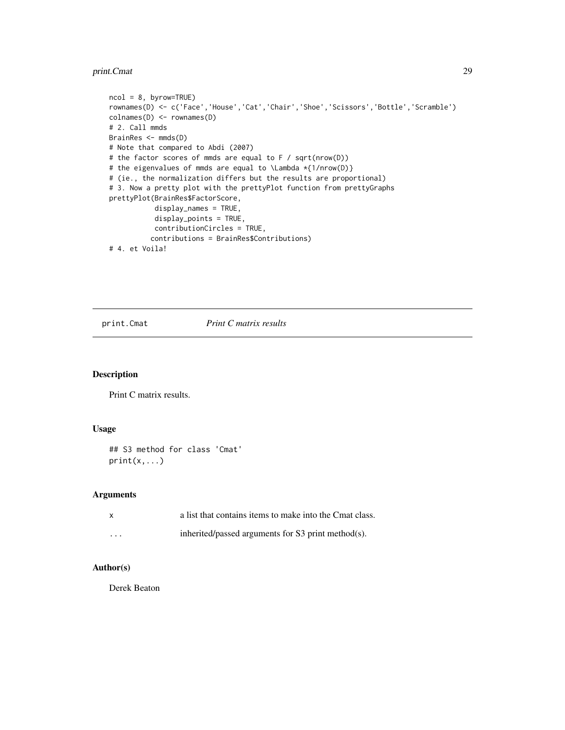### <span id="page-28-0"></span>print.Cmat 29

```
ncol = 8, byrow=TRUE)
rownames(D) <- c('Face','House','Cat','Chair','Shoe','Scissors','Bottle','Scramble')
colnames(D) <- rownames(D)
# 2. Call mmds
BrainRes <- mmds(D)
# Note that compared to Abdi (2007)
# the factor scores of mmds are equal to F / sqrt(nrow(D))
# the eigenvalues of mmds are equal to \Lambda *{1/nrow(D)}
# (ie., the normalization differs but the results are proportional)
# 3. Now a pretty plot with the prettyPlot function from prettyGraphs
prettyPlot(BrainRes$FactorScore,
           display_names = TRUE,
           display_points = TRUE,
           contributionCircles = TRUE,
          contributions = BrainRes$Contributions)
# 4. et Voila!
```
print.Cmat *Print C matrix results*

### Description

Print C matrix results.

#### Usage

```
## S3 method for class 'Cmat'
print(x,...)
```
### Arguments

|         | a list that contains items to make into the Cmat class. |
|---------|---------------------------------------------------------|
| $\cdot$ | inherited/passed arguments for $S3$ print method(s).    |

### Author(s)

Derek Beaton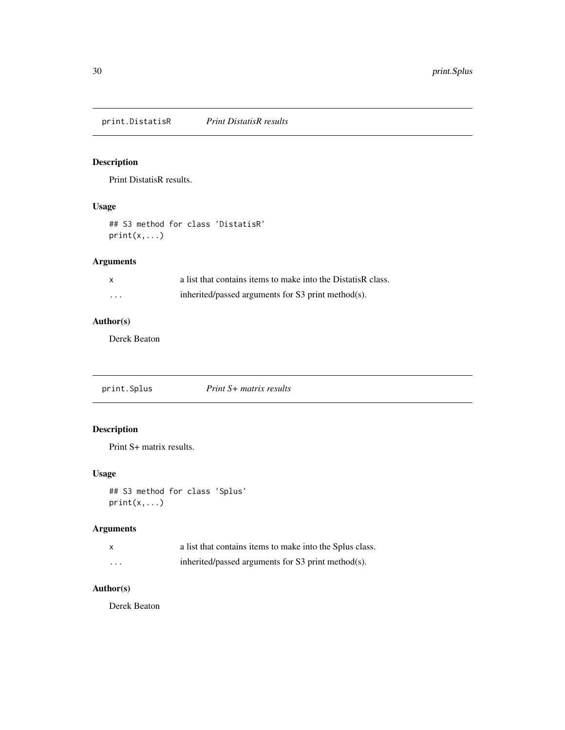<span id="page-29-0"></span>print.DistatisR *Print DistatisR results*

### Description

Print DistatisR results.

### Usage

## S3 method for class 'DistatisR' print(x,...)

### Arguments

|          | a list that contains items to make into the DistatisR class. |
|----------|--------------------------------------------------------------|
| $\cdots$ | inherited/passed arguments for $S3$ print method(s).         |

### Author(s)

Derek Beaton

print.Splus *Print S+ matrix results*

### Description

Print S+ matrix results.

### Usage

```
## S3 method for class 'Splus'
print(x,...)
```
### Arguments

|   | a list that contains items to make into the Splus class. |
|---|----------------------------------------------------------|
| . | inherited/passed arguments for $S3$ print method(s).     |

### Author(s)

Derek Beaton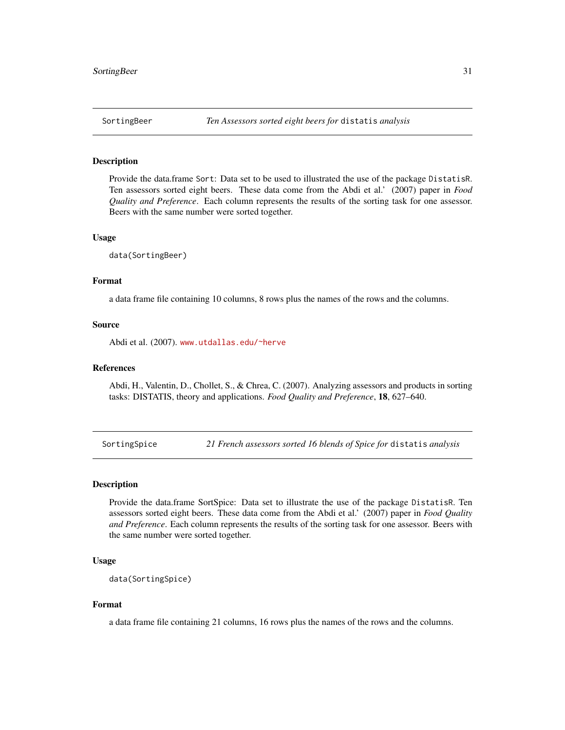<span id="page-30-0"></span>

### **Description**

Provide the data.frame Sort: Data set to be used to illustrated the use of the package DistatisR. Ten assessors sorted eight beers. These data come from the Abdi et al.' (2007) paper in *Food Quality and Preference*. Each column represents the results of the sorting task for one assessor. Beers with the same number were sorted together.

#### Usage

data(SortingBeer)

### Format

a data frame file containing 10 columns, 8 rows plus the names of the rows and the columns.

### Source

Abdi et al. (2007). <www.utdallas.edu/~herve>

#### References

Abdi, H., Valentin, D., Chollet, S., & Chrea, C. (2007). Analyzing assessors and products in sorting tasks: DISTATIS, theory and applications. *Food Quality and Preference*, 18, 627–640.

SortingSpice *21 French assessors sorted 16 blends of Spice for* distatis *analysis*

#### Description

Provide the data.frame SortSpice: Data set to illustrate the use of the package DistatisR. Ten assessors sorted eight beers. These data come from the Abdi et al.' (2007) paper in *Food Quality and Preference*. Each column represents the results of the sorting task for one assessor. Beers with the same number were sorted together.

### Usage

data(SortingSpice)

### Format

a data frame file containing 21 columns, 16 rows plus the names of the rows and the columns.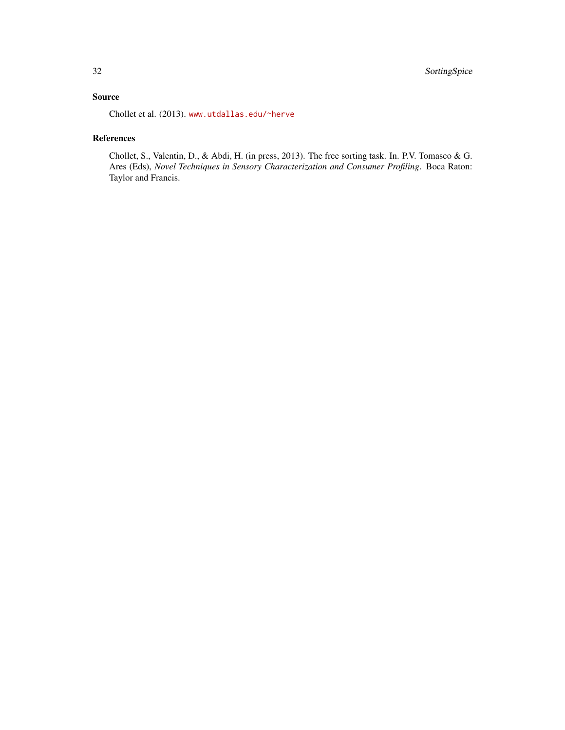### Source

Chollet et al. (2013). <www.utdallas.edu/~herve>

### References

Chollet, S., Valentin, D., & Abdi, H. (in press, 2013). The free sorting task. In. P.V. Tomasco & G. Ares (Eds), *Novel Techniques in Sensory Characterization and Consumer Profiling*. Boca Raton: Taylor and Francis.